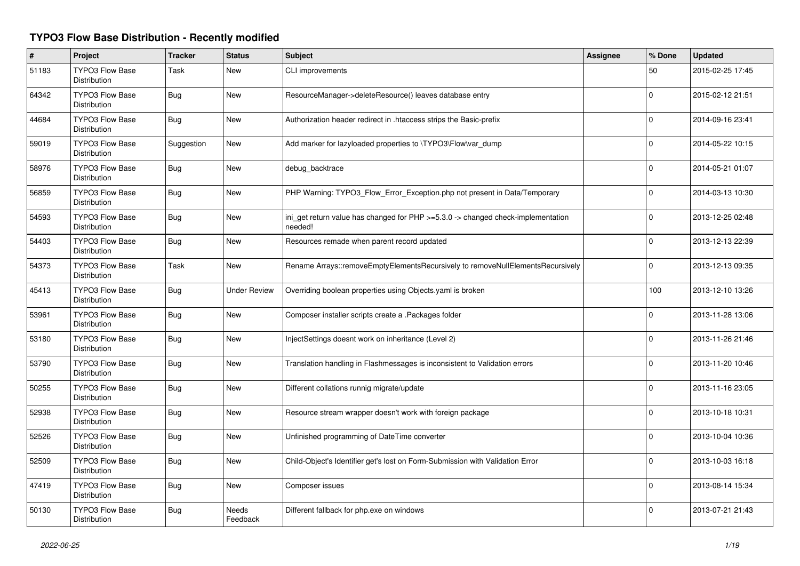## **TYPO3 Flow Base Distribution - Recently modified**

| $\#$  | Project                                       | <b>Tracker</b> | <b>Status</b>            | Subject                                                                                     | Assignee | % Done      | <b>Updated</b>   |
|-------|-----------------------------------------------|----------------|--------------------------|---------------------------------------------------------------------------------------------|----------|-------------|------------------|
| 51183 | <b>TYPO3 Flow Base</b><br><b>Distribution</b> | Task           | New                      | CLI improvements                                                                            |          | 50          | 2015-02-25 17:45 |
| 64342 | <b>TYPO3 Flow Base</b><br><b>Distribution</b> | Bug            | <b>New</b>               | ResourceManager->deleteResource() leaves database entry                                     |          | $\Omega$    | 2015-02-12 21:51 |
| 44684 | <b>TYPO3 Flow Base</b><br><b>Distribution</b> | <b>Bug</b>     | <b>New</b>               | Authorization header redirect in .htaccess strips the Basic-prefix                          |          | $\Omega$    | 2014-09-16 23:41 |
| 59019 | <b>TYPO3 Flow Base</b><br><b>Distribution</b> | Suggestion     | <b>New</b>               | Add marker for lazyloaded properties to \TYPO3\Flow\var_dump                                |          | $\Omega$    | 2014-05-22 10:15 |
| 58976 | <b>TYPO3 Flow Base</b><br>Distribution        | <b>Bug</b>     | New                      | debug backtrace                                                                             |          | $\Omega$    | 2014-05-21 01:07 |
| 56859 | <b>TYPO3 Flow Base</b><br>Distribution        | <b>Bug</b>     | <b>New</b>               | PHP Warning: TYPO3 Flow Error Exception.php not present in Data/Temporary                   |          | $\Omega$    | 2014-03-13 10:30 |
| 54593 | <b>TYPO3 Flow Base</b><br>Distribution        | <b>Bug</b>     | New                      | ini_get return value has changed for PHP >=5.3.0 -> changed check-implementation<br>needed! |          | 0           | 2013-12-25 02:48 |
| 54403 | <b>TYPO3 Flow Base</b><br>Distribution        | <b>Bug</b>     | New                      | Resources remade when parent record updated                                                 |          | $\mathbf 0$ | 2013-12-13 22:39 |
| 54373 | <b>TYPO3 Flow Base</b><br>Distribution        | <b>Task</b>    | <b>New</b>               | Rename Arrays::removeEmptyElementsRecursively to removeNullElementsRecursively              |          | 0           | 2013-12-13 09:35 |
| 45413 | <b>TYPO3 Flow Base</b><br><b>Distribution</b> | Bug            | <b>Under Review</b>      | Overriding boolean properties using Objects yaml is broken                                  |          | 100         | 2013-12-10 13:26 |
| 53961 | <b>TYPO3 Flow Base</b><br><b>Distribution</b> | Bug            | <b>New</b>               | Composer installer scripts create a .Packages folder                                        |          | 0           | 2013-11-28 13:06 |
| 53180 | TYPO3 Flow Base<br>Distribution               | Bug            | New                      | InjectSettings doesnt work on inheritance (Level 2)                                         |          | $\Omega$    | 2013-11-26 21:46 |
| 53790 | <b>TYPO3 Flow Base</b><br><b>Distribution</b> | Bug            | <b>New</b>               | Translation handling in Flashmessages is inconsistent to Validation errors                  |          | 0           | 2013-11-20 10:46 |
| 50255 | <b>TYPO3 Flow Base</b><br><b>Distribution</b> | Bug            | <b>New</b>               | Different collations runnig migrate/update                                                  |          | $\Omega$    | 2013-11-16 23:05 |
| 52938 | <b>TYPO3 Flow Base</b><br><b>Distribution</b> | Bug            | <b>New</b>               | Resource stream wrapper doesn't work with foreign package                                   |          | $\Omega$    | 2013-10-18 10:31 |
| 52526 | TYPO3 Flow Base<br><b>Distribution</b>        | <b>Bug</b>     | New                      | Unfinished programming of DateTime converter                                                |          | 0           | 2013-10-04 10:36 |
| 52509 | <b>TYPO3 Flow Base</b><br><b>Distribution</b> | <b>Bug</b>     | <b>New</b>               | Child-Object's Identifier get's lost on Form-Submission with Validation Error               |          | $\Omega$    | 2013-10-03 16:18 |
| 47419 | TYPO3 Flow Base<br>Distribution               | <b>Bug</b>     | New                      | Composer issues                                                                             |          | $\Omega$    | 2013-08-14 15:34 |
| 50130 | <b>TYPO3 Flow Base</b><br>Distribution        | <b>Bug</b>     | <b>Needs</b><br>Feedback | Different fallback for php.exe on windows                                                   |          | $\Omega$    | 2013-07-21 21:43 |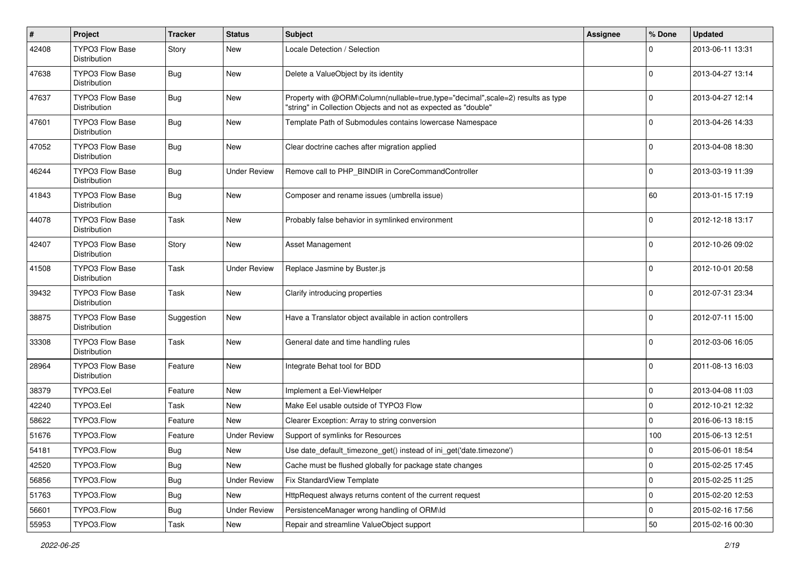| #     | Project                                | <b>Tracker</b>   | <b>Status</b>       | <b>Subject</b>                                                                                                                                    | <b>Assignee</b> | % Done      | <b>Updated</b>   |
|-------|----------------------------------------|------------------|---------------------|---------------------------------------------------------------------------------------------------------------------------------------------------|-----------------|-------------|------------------|
| 42408 | TYPO3 Flow Base<br>Distribution        | Story            | <b>New</b>          | Locale Detection / Selection                                                                                                                      |                 | 0           | 2013-06-11 13:31 |
| 47638 | <b>TYPO3 Flow Base</b><br>Distribution | Bug              | <b>New</b>          | Delete a ValueObject by its identity                                                                                                              |                 | 0           | 2013-04-27 13:14 |
| 47637 | TYPO3 Flow Base<br>Distribution        | Bug              | <b>New</b>          | Property with @ORM\Column(nullable=true,type="decimal",scale=2) results as type<br>"string" in Collection Objects and not as expected as "double" |                 | $\mathbf 0$ | 2013-04-27 12:14 |
| 47601 | <b>TYPO3 Flow Base</b><br>Distribution | Bug              | <b>New</b>          | Template Path of Submodules contains lowercase Namespace                                                                                          |                 | $\mathbf 0$ | 2013-04-26 14:33 |
| 47052 | TYPO3 Flow Base<br>Distribution        | Bug              | <b>New</b>          | Clear doctrine caches after migration applied                                                                                                     |                 | 0           | 2013-04-08 18:30 |
| 46244 | <b>TYPO3 Flow Base</b><br>Distribution | Bug              | <b>Under Review</b> | Remove call to PHP_BINDIR in CoreCommandController                                                                                                |                 | $\mathbf 0$ | 2013-03-19 11:39 |
| 41843 | TYPO3 Flow Base<br>Distribution        | Bug              | <b>New</b>          | Composer and rename issues (umbrella issue)                                                                                                       |                 | 60          | 2013-01-15 17:19 |
| 44078 | <b>TYPO3 Flow Base</b><br>Distribution | Task             | <b>New</b>          | Probably false behavior in symlinked environment                                                                                                  |                 | 0           | 2012-12-18 13:17 |
| 42407 | <b>TYPO3 Flow Base</b><br>Distribution | Story            | <b>New</b>          | <b>Asset Management</b>                                                                                                                           |                 | 0           | 2012-10-26 09:02 |
| 41508 | <b>TYPO3 Flow Base</b><br>Distribution | Task             | <b>Under Review</b> | Replace Jasmine by Buster.js                                                                                                                      |                 | 0           | 2012-10-01 20:58 |
| 39432 | <b>TYPO3 Flow Base</b><br>Distribution | Task             | <b>New</b>          | Clarify introducing properties                                                                                                                    |                 | $\mathbf 0$ | 2012-07-31 23:34 |
| 38875 | <b>TYPO3 Flow Base</b><br>Distribution | Suggestion       | <b>New</b>          | Have a Translator object available in action controllers                                                                                          |                 | $\Omega$    | 2012-07-11 15:00 |
| 33308 | <b>TYPO3 Flow Base</b><br>Distribution | Task             | <b>New</b>          | General date and time handling rules                                                                                                              |                 | 0           | 2012-03-06 16:05 |
| 28964 | TYPO3 Flow Base<br>Distribution        | Feature          | <b>New</b>          | Integrate Behat tool for BDD                                                                                                                      |                 | 0           | 2011-08-13 16:03 |
| 38379 | TYPO3.Eel                              | Feature          | <b>New</b>          | Implement a Eel-ViewHelper                                                                                                                        |                 | 0           | 2013-04-08 11:03 |
| 42240 | TYPO3.Eel                              | Task             | <b>New</b>          | Make Eel usable outside of TYPO3 Flow                                                                                                             |                 | 0           | 2012-10-21 12:32 |
| 58622 | TYPO3.Flow                             | Feature          | New                 | Clearer Exception: Array to string conversion                                                                                                     |                 | $\mathbf 0$ | 2016-06-13 18:15 |
| 51676 | TYPO3.Flow                             | Feature          | <b>Under Review</b> | Support of symlinks for Resources                                                                                                                 |                 | 100         | 2015-06-13 12:51 |
| 54181 | TYPO3.Flow                             | <sub>I</sub> Bug | New                 | Use date_default_timezone_get() instead of ini_get('date.timezone')                                                                               |                 | 0           | 2015-06-01 18:54 |
| 42520 | TYPO3.Flow                             | Bug              | New                 | Cache must be flushed globally for package state changes                                                                                          |                 | 0           | 2015-02-25 17:45 |
| 56856 | TYPO3.Flow                             | Bug              | <b>Under Review</b> | Fix StandardView Template                                                                                                                         |                 | 0           | 2015-02-25 11:25 |
| 51763 | TYPO3.Flow                             | <b>Bug</b>       | New                 | HttpRequest always returns content of the current request                                                                                         |                 | 0           | 2015-02-20 12:53 |
| 56601 | TYPO3.Flow                             | <b>Bug</b>       | <b>Under Review</b> | PersistenceManager wrong handling of ORM\ld                                                                                                       |                 | 0           | 2015-02-16 17:56 |
| 55953 | TYPO3.Flow                             | Task             | New                 | Repair and streamline ValueObject support                                                                                                         |                 | 50          | 2015-02-16 00:30 |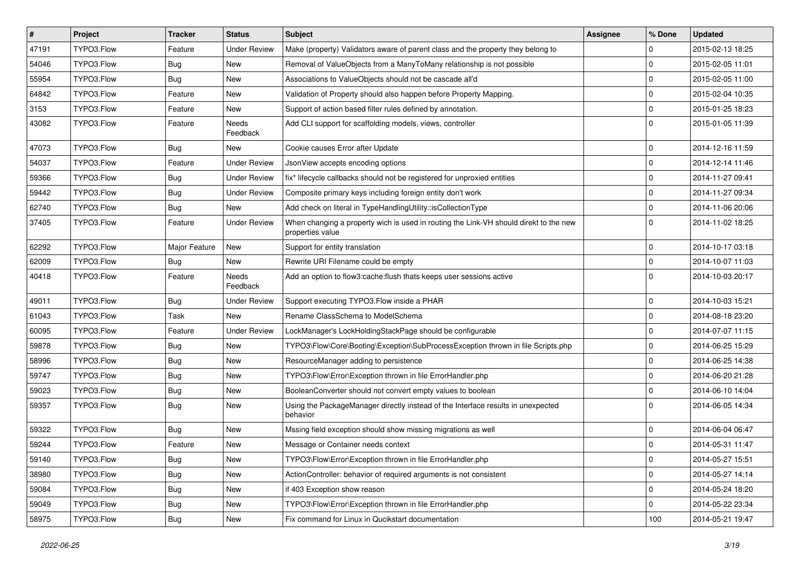| $\vert$ # | Project    | <b>Tracker</b> | <b>Status</b>       | <b>Subject</b>                                                                                            | <b>Assignee</b> | % Done         | <b>Updated</b>   |
|-----------|------------|----------------|---------------------|-----------------------------------------------------------------------------------------------------------|-----------------|----------------|------------------|
| 47191     | TYPO3.Flow | Feature        | <b>Under Review</b> | Make (property) Validators aware of parent class and the property they belong to                          |                 | 0              | 2015-02-13 18:25 |
| 54046     | TYPO3.Flow | Bug            | <b>New</b>          | Removal of ValueObjects from a ManyToMany relationship is not possible                                    |                 | $\Omega$       | 2015-02-05 11:01 |
| 55954     | TYPO3.Flow | Bug            | <b>New</b>          | Associations to ValueObjects should not be cascade all'd                                                  |                 | 0              | 2015-02-05 11:00 |
| 64842     | TYPO3.Flow | Feature        | New                 | Validation of Property should also happen before Property Mapping.                                        |                 | $\Omega$       | 2015-02-04 10:35 |
| 3153      | TYPO3.Flow | Feature        | <b>New</b>          | Support of action based filter rules defined by annotation.                                               |                 | $\Omega$       | 2015-01-25 18:23 |
| 43082     | TYPO3.Flow | Feature        | Needs<br>Feedback   | Add CLI support for scaffolding models, views, controller                                                 |                 | $\Omega$       | 2015-01-05 11:39 |
| 47073     | TYPO3.Flow | Bug            | <b>New</b>          | Cookie causes Error after Update                                                                          |                 | $\Omega$       | 2014-12-16 11:59 |
| 54037     | TYPO3.Flow | Feature        | <b>Under Review</b> | JsonView accepts encoding options                                                                         |                 | $\overline{0}$ | 2014-12-14 11:46 |
| 59366     | TYPO3.Flow | Bug            | <b>Under Review</b> | fix* lifecycle callbacks should not be registered for unproxied entities                                  |                 | $\Omega$       | 2014-11-27 09:41 |
| 59442     | TYPO3.Flow | Bug            | <b>Under Review</b> | Composite primary keys including foreign entity don't work                                                |                 | 0              | 2014-11-27 09:34 |
| 62740     | TYPO3.Flow | <b>Bug</b>     | New                 | Add check on literal in TypeHandlingUtility::isCollectionType                                             |                 | $\mathbf 0$    | 2014-11-06 20:06 |
| 37405     | TYPO3.Flow | Feature        | <b>Under Review</b> | When changing a property wich is used in routing the Link-VH should direkt to the new<br>properties value |                 | $\Omega$       | 2014-11-02 18:25 |
| 62292     | TYPO3.Flow | Major Feature  | New                 | Support for entity translation                                                                            |                 | $\overline{0}$ | 2014-10-17 03:18 |
| 62009     | TYPO3.Flow | Bug            | <b>New</b>          | Rewrite URI Filename could be empty                                                                       |                 | $\overline{0}$ | 2014-10-07 11:03 |
| 40418     | TYPO3.Flow | Feature        | Needs<br>Feedback   | Add an option to flow3:cache:flush thats keeps user sessions active                                       |                 | $\Omega$       | 2014-10-03 20:17 |
| 49011     | TYPO3.Flow | Bug            | <b>Under Review</b> | Support executing TYPO3.Flow inside a PHAR                                                                |                 | 0              | 2014-10-03 15:21 |
| 61043     | TYPO3.Flow | Task           | <b>New</b>          | Rename ClassSchema to ModelSchema                                                                         |                 | $\mathbf 0$    | 2014-08-18 23:20 |
| 60095     | TYPO3.Flow | Feature        | <b>Under Review</b> | LockManager's LockHoldingStackPage should be configurable                                                 |                 | $\Omega$       | 2014-07-07 11:15 |
| 59878     | TYPO3.Flow | <b>Bug</b>     | New                 | TYPO3\Flow\Core\Booting\Exception\SubProcessException thrown in file Scripts.php                          |                 | $\Omega$       | 2014-06-25 15:29 |
| 58996     | TYPO3.Flow | Bug            | New                 | ResourceManager adding to persistence                                                                     |                 | $\Omega$       | 2014-06-25 14:38 |
| 59747     | TYPO3.Flow | Bug            | New                 | TYPO3\Flow\Error\Exception thrown in file ErrorHandler.php                                                |                 | 0              | 2014-06-20 21:28 |
| 59023     | TYPO3.Flow | Bug            | New                 | BooleanConverter should not convert empty values to boolean                                               |                 | $\Omega$       | 2014-06-10 14:04 |
| 59357     | TYPO3.Flow | <b>Bug</b>     | New                 | Using the PackageManager directly instead of the Interface results in unexpected<br>behavior              |                 | $\Omega$       | 2014-06-05 14:34 |
| 59322     | TYPO3.Flow | <b>Bug</b>     | New                 | Mssing field exception should show missing migrations as well                                             |                 | $\mathbf 0$    | 2014-06-04 06:47 |
| 59244     | TYPO3.Flow | Feature        | New                 | Message or Container needs context                                                                        |                 | l 0            | 2014-05-31 11:47 |
| 59140     | TYPO3.Flow | <b>Bug</b>     | New                 | TYPO3\Flow\Error\Exception thrown in file ErrorHandler.php                                                |                 | 0              | 2014-05-27 15:51 |
| 38980     | TYPO3.Flow | <b>Bug</b>     | New                 | ActionController: behavior of required arguments is not consistent                                        |                 | $\overline{0}$ | 2014-05-27 14:14 |
| 59084     | TYPO3.Flow | <b>Bug</b>     | New                 | if 403 Exception show reason                                                                              |                 | l 0            | 2014-05-24 18:20 |
| 59049     | TYPO3.Flow | <b>Bug</b>     | New                 | TYPO3\Flow\Error\Exception thrown in file ErrorHandler.php                                                |                 | $\mathbf 0$    | 2014-05-22 23:34 |
| 58975     | TYPO3.Flow | <b>Bug</b>     | New                 | Fix command for Linux in Qucikstart documentation                                                         |                 | 100            | 2014-05-21 19:47 |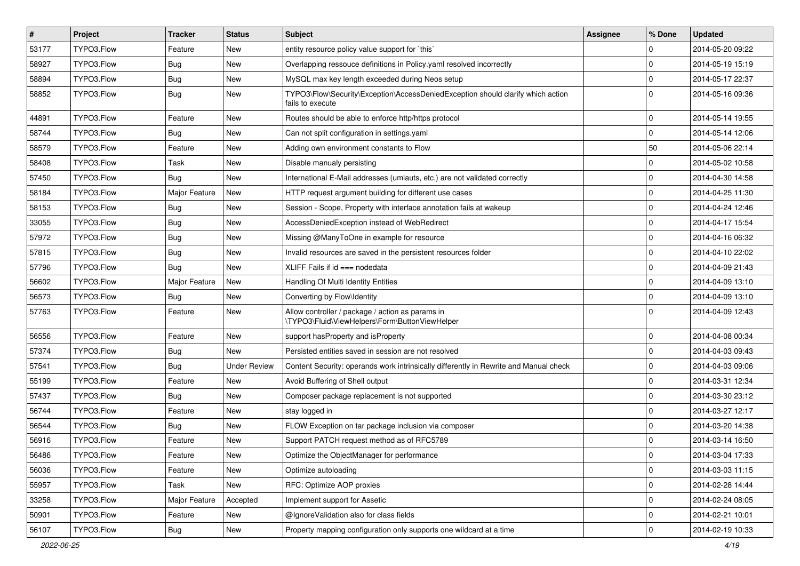| $\vert$ # | <b>Project</b> | <b>Tracker</b> | <b>Status</b>       | Subject                                                                                             | <b>Assignee</b> | % Done      | <b>Updated</b>   |
|-----------|----------------|----------------|---------------------|-----------------------------------------------------------------------------------------------------|-----------------|-------------|------------------|
| 53177     | TYPO3.Flow     | Feature        | New                 | entity resource policy value support for `this`                                                     |                 | $\mathbf 0$ | 2014-05-20 09:22 |
| 58927     | TYPO3.Flow     | <b>Bug</b>     | <b>New</b>          | Overlapping ressouce definitions in Policy yaml resolved incorrectly                                |                 | $\mathbf 0$ | 2014-05-19 15:19 |
| 58894     | TYPO3.Flow     | <b>Bug</b>     | New                 | MySQL max key length exceeded during Neos setup                                                     |                 | $\mathbf 0$ | 2014-05-17 22:37 |
| 58852     | TYPO3.Flow     | <b>Bug</b>     | New                 | TYPO3\Flow\Security\Exception\AccessDeniedException should clarify which action<br>fails to execute |                 | $\Omega$    | 2014-05-16 09:36 |
| 44891     | TYPO3.Flow     | Feature        | <b>New</b>          | Routes should be able to enforce http/https protocol                                                |                 | $\mathbf 0$ | 2014-05-14 19:55 |
| 58744     | TYPO3.Flow     | <b>Bug</b>     | New                 | Can not split configuration in settings.yaml                                                        |                 | $\mathbf 0$ | 2014-05-14 12:06 |
| 58579     | TYPO3.Flow     | Feature        | New                 | Adding own environment constants to Flow                                                            |                 | 50          | 2014-05-06 22:14 |
| 58408     | TYPO3.Flow     | Task           | New                 | Disable manualy persisting                                                                          |                 | $\mathbf 0$ | 2014-05-02 10:58 |
| 57450     | TYPO3.Flow     | <b>Bug</b>     | New                 | International E-Mail addresses (umlauts, etc.) are not validated correctly                          |                 | $\mathbf 0$ | 2014-04-30 14:58 |
| 58184     | TYPO3.Flow     | Major Feature  | New                 | HTTP request argument building for different use cases                                              |                 | $\mathbf 0$ | 2014-04-25 11:30 |
| 58153     | TYPO3.Flow     | <b>Bug</b>     | New                 | Session - Scope, Property with interface annotation fails at wakeup                                 |                 | $\mathbf 0$ | 2014-04-24 12:46 |
| 33055     | TYPO3.Flow     | Bug            | <b>New</b>          | AccessDeniedException instead of WebRedirect                                                        |                 | $\mathbf 0$ | 2014-04-17 15:54 |
| 57972     | TYPO3.Flow     | <b>Bug</b>     | New                 | Missing @ManyToOne in example for resource                                                          |                 | $\mathbf 0$ | 2014-04-16 06:32 |
| 57815     | TYPO3.Flow     | <b>Bug</b>     | New                 | Invalid resources are saved in the persistent resources folder                                      |                 | $\mathbf 0$ | 2014-04-10 22:02 |
| 57796     | TYPO3.Flow     | Bug            | New                 | XLIFF Fails if $id ==$ nodedata                                                                     |                 | $\mathbf 0$ | 2014-04-09 21:43 |
| 56602     | TYPO3.Flow     | Major Feature  | New                 | Handling Of Multi Identity Entities                                                                 |                 | $\mathbf 0$ | 2014-04-09 13:10 |
| 56573     | TYPO3.Flow     | Bug            | New                 | Converting by Flow\Identity                                                                         |                 | $\Omega$    | 2014-04-09 13:10 |
| 57763     | TYPO3.Flow     | Feature        | New                 | Allow controller / package / action as params in<br>\TYPO3\Fluid\ViewHelpers\Form\ButtonViewHelper  |                 | $\Omega$    | 2014-04-09 12:43 |
| 56556     | TYPO3.Flow     | Feature        | <b>New</b>          | support has Property and is Property                                                                |                 | $\mathbf 0$ | 2014-04-08 00:34 |
| 57374     | TYPO3.Flow     | <b>Bug</b>     | New                 | Persisted entities saved in session are not resolved                                                |                 | $\mathbf 0$ | 2014-04-03 09:43 |
| 57541     | TYPO3.Flow     | <b>Bug</b>     | <b>Under Review</b> | Content Security: operands work intrinsically differently in Rewrite and Manual check               |                 | $\mathbf 0$ | 2014-04-03 09:06 |
| 55199     | TYPO3.Flow     | Feature        | New                 | Avoid Buffering of Shell output                                                                     |                 | $\mathbf 0$ | 2014-03-31 12:34 |
| 57437     | TYPO3.Flow     | <b>Bug</b>     | New                 | Composer package replacement is not supported                                                       |                 | $\mathbf 0$ | 2014-03-30 23:12 |
| 56744     | TYPO3.Flow     | Feature        | New                 | stay logged in                                                                                      |                 | $\Omega$    | 2014-03-27 12:17 |
| 56544     | TYPO3.Flow     | Bug            | New                 | FLOW Exception on tar package inclusion via composer                                                |                 | $\mathbf 0$ | 2014-03-20 14:38 |
| 56916     | TYPO3.Flow     | Feature        | <b>New</b>          | Support PATCH request method as of RFC5789                                                          |                 | $\Omega$    | 2014-03-14 16:50 |
| 56486     | TYPO3.Flow     | Feature        | New                 | Optimize the ObjectManager for performance                                                          |                 | 0           | 2014-03-04 17:33 |
| 56036     | TYPO3.Flow     | Feature        | New                 | Optimize autoloading                                                                                |                 | $\pmb{0}$   | 2014-03-03 11:15 |
| 55957     | TYPO3.Flow     | Task           | New                 | RFC: Optimize AOP proxies                                                                           |                 | $\mathbf 0$ | 2014-02-28 14:44 |
| 33258     | TYPO3.Flow     | Major Feature  | Accepted            | Implement support for Assetic                                                                       |                 | $\pmb{0}$   | 2014-02-24 08:05 |
| 50901     | TYPO3.Flow     | Feature        | New                 | @IgnoreValidation also for class fields                                                             |                 | $\mathsf 0$ | 2014-02-21 10:01 |
| 56107     | TYPO3.Flow     | <b>Bug</b>     | New                 | Property mapping configuration only supports one wildcard at a time                                 |                 | $\mathsf 0$ | 2014-02-19 10:33 |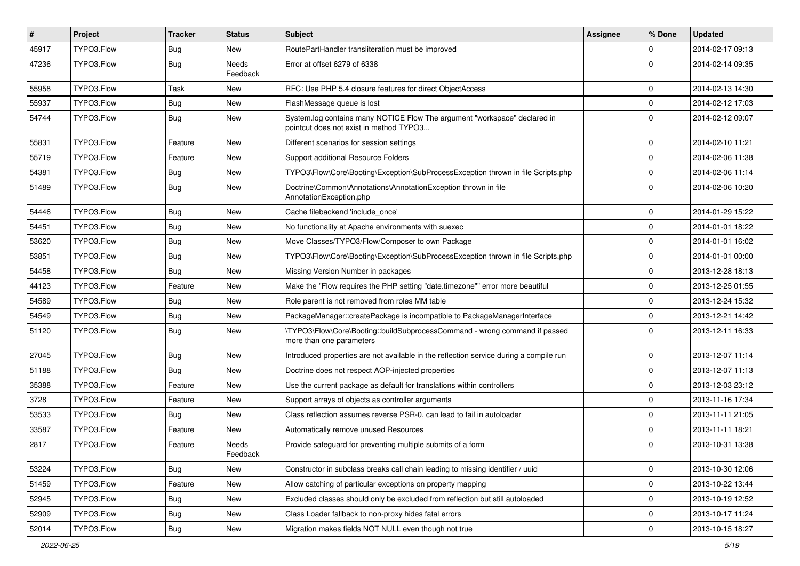| #     | Project    | <b>Tracker</b> | <b>Status</b>            | <b>Subject</b>                                                                                                       | Assignee | % Done      | <b>Updated</b>   |
|-------|------------|----------------|--------------------------|----------------------------------------------------------------------------------------------------------------------|----------|-------------|------------------|
| 45917 | TYPO3.Flow | Bug            | New                      | RoutePartHandler transliteration must be improved                                                                    |          | 0           | 2014-02-17 09:13 |
| 47236 | TYPO3.Flow | <b>Bug</b>     | <b>Needs</b><br>Feedback | Error at offset 6279 of 6338                                                                                         |          | $\Omega$    | 2014-02-14 09:35 |
| 55958 | TYPO3.Flow | Task           | New                      | RFC: Use PHP 5.4 closure features for direct ObjectAccess                                                            |          | $\mathbf 0$ | 2014-02-13 14:30 |
| 55937 | TYPO3.Flow | Bug            | <b>New</b>               | FlashMessage queue is lost                                                                                           |          | $\mathbf 0$ | 2014-02-12 17:03 |
| 54744 | TYPO3.Flow | <b>Bug</b>     | New                      | System.log contains many NOTICE Flow The argument "workspace" declared in<br>pointcut does not exist in method TYPO3 |          | $\Omega$    | 2014-02-12 09:07 |
| 55831 | TYPO3.Flow | Feature        | New                      | Different scenarios for session settings                                                                             |          | $\mathbf 0$ | 2014-02-10 11:21 |
| 55719 | TYPO3.Flow | Feature        | New                      | Support additional Resource Folders                                                                                  |          | $\mathbf 0$ | 2014-02-06 11:38 |
| 54381 | TYPO3.Flow | Bug            | New                      | TYPO3\Flow\Core\Booting\Exception\SubProcessException thrown in file Scripts.php                                     |          | $\mathbf 0$ | 2014-02-06 11:14 |
| 51489 | TYPO3.Flow | Bug            | New                      | Doctrine\Common\Annotations\AnnotationException thrown in file<br>AnnotationException.php                            |          | $\Omega$    | 2014-02-06 10:20 |
| 54446 | TYPO3.Flow | <b>Bug</b>     | <b>New</b>               | Cache filebackend 'include_once'                                                                                     |          | $\mathbf 0$ | 2014-01-29 15:22 |
| 54451 | TYPO3.Flow | Bug            | New                      | No functionality at Apache environments with suexec                                                                  |          | $\mathbf 0$ | 2014-01-01 18:22 |
| 53620 | TYPO3.Flow | Bug            | New                      | Move Classes/TYPO3/Flow/Composer to own Package                                                                      |          | $\mathbf 0$ | 2014-01-01 16:02 |
| 53851 | TYPO3.Flow | Bug            | New                      | TYPO3\Flow\Core\Booting\Exception\SubProcessException thrown in file Scripts.php                                     |          | $\mathbf 0$ | 2014-01-01 00:00 |
| 54458 | TYPO3.Flow | Bug            | New                      | Missing Version Number in packages                                                                                   |          | $\mathbf 0$ | 2013-12-28 18:13 |
| 44123 | TYPO3.Flow | Feature        | New                      | Make the "Flow requires the PHP setting "date.timezone"" error more beautiful                                        |          | $\mathbf 0$ | 2013-12-25 01:55 |
| 54589 | TYPO3.Flow | Bug            | New                      | Role parent is not removed from roles MM table                                                                       |          | $\mathbf 0$ | 2013-12-24 15:32 |
| 54549 | TYPO3.Flow | Bug            | New                      | PackageManager::createPackage is incompatible to PackageManagerInterface                                             |          | $\mathbf 0$ | 2013-12-21 14:42 |
| 51120 | TYPO3.Flow | Bug            | New                      | \TYPO3\Flow\Core\Booting::buildSubprocessCommand - wrong command if passed<br>more than one parameters               |          | $\Omega$    | 2013-12-11 16:33 |
| 27045 | TYPO3.Flow | Bug            | <b>New</b>               | Introduced properties are not available in the reflection service during a compile run                               |          | $\mathbf 0$ | 2013-12-07 11:14 |
| 51188 | TYPO3.Flow | Bug            | New                      | Doctrine does not respect AOP-injected properties                                                                    |          | 0           | 2013-12-07 11:13 |
| 35388 | TYPO3.Flow | Feature        | New                      | Use the current package as default for translations within controllers                                               |          | $\mathbf 0$ | 2013-12-03 23:12 |
| 3728  | TYPO3.Flow | Feature        | New                      | Support arrays of objects as controller arguments                                                                    |          | $\Omega$    | 2013-11-16 17:34 |
| 53533 | TYPO3.Flow | Bug            | New                      | Class reflection assumes reverse PSR-0, can lead to fail in autoloader                                               |          | $\mathbf 0$ | 2013-11-11 21:05 |
| 33587 | TYPO3.Flow | Feature        | New                      | Automatically remove unused Resources                                                                                |          | $\mathbf 0$ | 2013-11-11 18:21 |
| 2817  | TYPO3.Flow | Feature        | Needs<br>Feedback        | Provide safeguard for preventing multiple submits of a form                                                          |          | $\Omega$    | 2013-10-31 13:38 |
| 53224 | TYPO3.Flow | Bug            | New                      | Constructor in subclass breaks call chain leading to missing identifier / uuid                                       |          | $\mathbf 0$ | 2013-10-30 12:06 |
| 51459 | TYPO3.Flow | Feature        | New                      | Allow catching of particular exceptions on property mapping                                                          |          | $\mathbf 0$ | 2013-10-22 13:44 |
| 52945 | TYPO3.Flow | Bug            | New                      | Excluded classes should only be excluded from reflection but still autoloaded                                        |          | 0           | 2013-10-19 12:52 |
| 52909 | TYPO3.Flow | <b>Bug</b>     | New                      | Class Loader fallback to non-proxy hides fatal errors                                                                |          | 0           | 2013-10-17 11:24 |
| 52014 | TYPO3.Flow | Bug            | New                      | Migration makes fields NOT NULL even though not true                                                                 |          | $\mathbf 0$ | 2013-10-15 18:27 |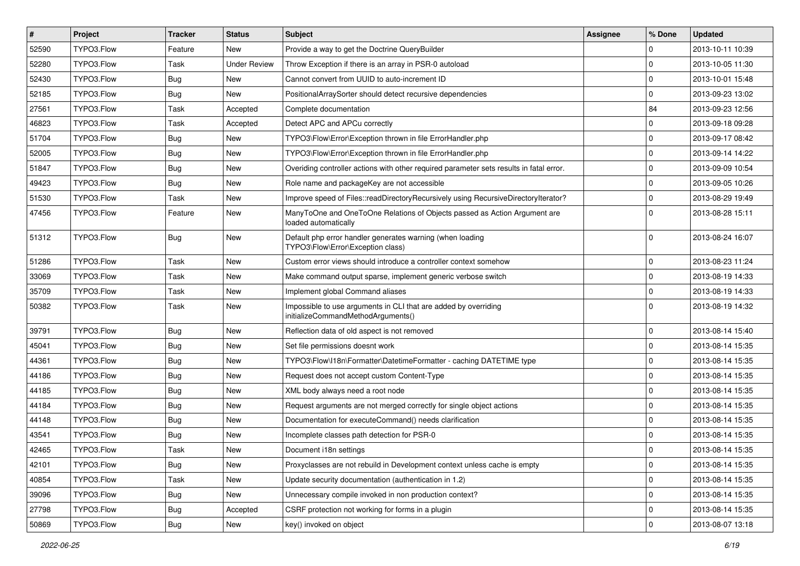| $\pmb{\#}$ | <b>Project</b> | <b>Tracker</b> | <b>Status</b>       | Subject                                                                                               | <b>Assignee</b> | % Done              | <b>Updated</b>   |
|------------|----------------|----------------|---------------------|-------------------------------------------------------------------------------------------------------|-----------------|---------------------|------------------|
| 52590      | TYPO3.Flow     | Feature        | New                 | Provide a way to get the Doctrine QueryBuilder                                                        |                 | $\Omega$            | 2013-10-11 10:39 |
| 52280      | TYPO3.Flow     | Task           | <b>Under Review</b> | Throw Exception if there is an array in PSR-0 autoload                                                |                 | $\mathbf 0$         | 2013-10-05 11:30 |
| 52430      | TYPO3.Flow     | Bug            | <b>New</b>          | Cannot convert from UUID to auto-increment ID                                                         |                 | $\Omega$            | 2013-10-01 15:48 |
| 52185      | TYPO3.Flow     | <b>Bug</b>     | New                 | PositionalArraySorter should detect recursive dependencies                                            |                 | $\mathbf 0$         | 2013-09-23 13:02 |
| 27561      | TYPO3.Flow     | Task           | Accepted            | Complete documentation                                                                                |                 | 84                  | 2013-09-23 12:56 |
| 46823      | TYPO3.Flow     | Task           | Accepted            | Detect APC and APCu correctly                                                                         |                 | $\mathbf 0$         | 2013-09-18 09:28 |
| 51704      | TYPO3.Flow     | <b>Bug</b>     | <b>New</b>          | TYPO3\Flow\Error\Exception thrown in file ErrorHandler.php                                            |                 | $\mathbf 0$         | 2013-09-17 08:42 |
| 52005      | TYPO3.Flow     | Bug            | New                 | TYPO3\Flow\Error\Exception thrown in file ErrorHandler.php                                            |                 | $\mathbf 0$         | 2013-09-14 14:22 |
| 51847      | TYPO3.Flow     | <b>Bug</b>     | New                 | Overiding controller actions with other required parameter sets results in fatal error.               |                 | $\mathbf 0$         | 2013-09-09 10:54 |
| 49423      | TYPO3.Flow     | <b>Bug</b>     | New                 | Role name and packageKey are not accessible                                                           |                 | $\mathbf 0$         | 2013-09-05 10:26 |
| 51530      | TYPO3.Flow     | Task           | New                 | Improve speed of Files::readDirectoryRecursively using RecursiveDirectoryIterator?                    |                 | $\mathbf 0$         | 2013-08-29 19:49 |
| 47456      | TYPO3.Flow     | Feature        | New                 | ManyToOne and OneToOne Relations of Objects passed as Action Argument are<br>loaded automatically     |                 | $\Omega$            | 2013-08-28 15:11 |
| 51312      | TYPO3.Flow     | Bug            | <b>New</b>          | Default php error handler generates warning (when loading<br>TYPO3\Flow\Error\Exception class)        |                 | $\Omega$            | 2013-08-24 16:07 |
| 51286      | TYPO3.Flow     | Task           | New                 | Custom error views should introduce a controller context somehow                                      |                 | $\mathbf 0$         | 2013-08-23 11:24 |
| 33069      | TYPO3.Flow     | Task           | New                 | Make command output sparse, implement generic verbose switch                                          |                 | $\mathbf 0$         | 2013-08-19 14:33 |
| 35709      | TYPO3.Flow     | Task           | <b>New</b>          | Implement global Command aliases                                                                      |                 | $\mathbf 0$         | 2013-08-19 14:33 |
| 50382      | TYPO3.Flow     | Task           | New                 | Impossible to use arguments in CLI that are added by overriding<br>initializeCommandMethodArguments() |                 | $\Omega$            | 2013-08-19 14:32 |
| 39791      | TYPO3.Flow     | Bug            | <b>New</b>          | Reflection data of old aspect is not removed                                                          |                 | $\mathbf 0$         | 2013-08-14 15:40 |
| 45041      | TYPO3.Flow     | <b>Bug</b>     | New                 | Set file permissions doesnt work                                                                      |                 | $\mathbf 0$         | 2013-08-14 15:35 |
| 44361      | TYPO3.Flow     | <b>Bug</b>     | <b>New</b>          | TYPO3\Flow\I18n\Formatter\DatetimeFormatter - caching DATETIME type                                   |                 | $\mathbf 0$         | 2013-08-14 15:35 |
| 44186      | TYPO3.Flow     | Bug            | New                 | Request does not accept custom Content-Type                                                           |                 | $\mathbf 0$         | 2013-08-14 15:35 |
| 44185      | TYPO3.Flow     | <b>Bug</b>     | New                 | XML body always need a root node                                                                      |                 | $\mathbf 0$         | 2013-08-14 15:35 |
| 44184      | TYPO3.Flow     | Bug            | <b>New</b>          | Request arguments are not merged correctly for single object actions                                  |                 | $\mathbf 0$         | 2013-08-14 15:35 |
| 44148      | TYPO3.Flow     | Bug            | New                 | Documentation for executeCommand() needs clarification                                                |                 | $\mathbf 0$         | 2013-08-14 15:35 |
| 43541      | TYPO3.Flow     | <b>Bug</b>     | New                 | Incomplete classes path detection for PSR-0                                                           |                 | $\mathbf 0$         | 2013-08-14 15:35 |
| 42465      | TYPO3.Flow     | Task           | New                 | Document i18n settings                                                                                |                 | $\Omega$            | 2013-08-14 15:35 |
| 42101      | TYPO3.Flow     | Bug            | New                 | Proxyclasses are not rebuild in Development context unless cache is empty                             |                 | $\mathbf 0$         | 2013-08-14 15:35 |
| 40854      | TYPO3.Flow     | Task           | New                 | Update security documentation (authentication in 1.2)                                                 |                 | $\mathsf{O}\xspace$ | 2013-08-14 15:35 |
| 39096      | TYPO3.Flow     | <b>Bug</b>     | New                 | Unnecessary compile invoked in non production context?                                                |                 | $\mathsf{O}\xspace$ | 2013-08-14 15:35 |
| 27798      | TYPO3.Flow     | Bug            | Accepted            | CSRF protection not working for forms in a plugin                                                     |                 | 0                   | 2013-08-14 15:35 |
| 50869      | TYPO3.Flow     | Bug            | New                 | key() invoked on object                                                                               |                 | 0                   | 2013-08-07 13:18 |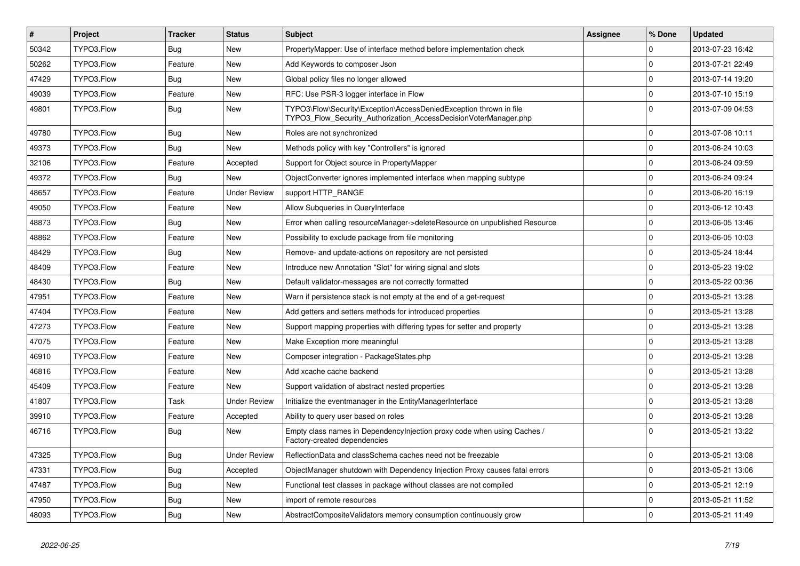| $\pmb{\#}$ | Project    | <b>Tracker</b> | <b>Status</b>       | <b>Subject</b>                                                                                                                         | Assignee | % Done      | <b>Updated</b>   |
|------------|------------|----------------|---------------------|----------------------------------------------------------------------------------------------------------------------------------------|----------|-------------|------------------|
| 50342      | TYPO3.Flow | Bug            | <b>New</b>          | PropertyMapper: Use of interface method before implementation check                                                                    |          | $\Omega$    | 2013-07-23 16:42 |
| 50262      | TYPO3.Flow | Feature        | <b>New</b>          | Add Keywords to composer Json                                                                                                          |          | $\Omega$    | 2013-07-21 22:49 |
| 47429      | TYPO3.Flow | Bug            | <b>New</b>          | Global policy files no longer allowed                                                                                                  |          | $\mathbf 0$ | 2013-07-14 19:20 |
| 49039      | TYPO3.Flow | Feature        | <b>New</b>          | RFC: Use PSR-3 logger interface in Flow                                                                                                |          | $\Omega$    | 2013-07-10 15:19 |
| 49801      | TYPO3.Flow | Bug            | <b>New</b>          | TYPO3\Flow\Security\Exception\AccessDeniedException thrown in file<br>TYPO3 Flow Security Authorization AccessDecisionVoterManager.php |          | $\Omega$    | 2013-07-09 04:53 |
| 49780      | TYPO3.Flow | <b>Bug</b>     | New                 | Roles are not synchronized                                                                                                             |          | $\Omega$    | 2013-07-08 10:11 |
| 49373      | TYPO3.Flow | <b>Bug</b>     | <b>New</b>          | Methods policy with key "Controllers" is ignored                                                                                       |          | $\mathbf 0$ | 2013-06-24 10:03 |
| 32106      | TYPO3.Flow | Feature        | Accepted            | Support for Object source in PropertyMapper                                                                                            |          | $\Omega$    | 2013-06-24 09:59 |
| 49372      | TYPO3.Flow | Bug            | <b>New</b>          | ObjectConverter ignores implemented interface when mapping subtype                                                                     |          | $\Omega$    | 2013-06-24 09:24 |
| 48657      | TYPO3.Flow | Feature        | <b>Under Review</b> | support HTTP_RANGE                                                                                                                     |          | $\mathbf 0$ | 2013-06-20 16:19 |
| 49050      | TYPO3.Flow | Feature        | New                 | Allow Subqueries in QueryInterface                                                                                                     |          | $\mathbf 0$ | 2013-06-12 10:43 |
| 48873      | TYPO3.Flow | Bug            | <b>New</b>          | Error when calling resourceManager->deleteResource on unpublished Resource                                                             |          | $\mathbf 0$ | 2013-06-05 13:46 |
| 48862      | TYPO3.Flow | Feature        | <b>New</b>          | Possibility to exclude package from file monitoring                                                                                    |          | $\mathbf 0$ | 2013-06-05 10:03 |
| 48429      | TYPO3.Flow | Bug            | New                 | Remove- and update-actions on repository are not persisted                                                                             |          | $\Omega$    | 2013-05-24 18:44 |
| 48409      | TYPO3.Flow | Feature        | New                 | Introduce new Annotation "Slot" for wiring signal and slots                                                                            |          | $\Omega$    | 2013-05-23 19:02 |
| 48430      | TYPO3.Flow | <b>Bug</b>     | New                 | Default validator-messages are not correctly formatted                                                                                 |          | $\mathbf 0$ | 2013-05-22 00:36 |
| 47951      | TYPO3.Flow | Feature        | New                 | Warn if persistence stack is not empty at the end of a get-request                                                                     |          | $\mathbf 0$ | 2013-05-21 13:28 |
| 47404      | TYPO3.Flow | Feature        | <b>New</b>          | Add getters and setters methods for introduced properties                                                                              |          | $\mathbf 0$ | 2013-05-21 13:28 |
| 47273      | TYPO3.Flow | Feature        | <b>New</b>          | Support mapping properties with differing types for setter and property                                                                |          | $\Omega$    | 2013-05-21 13:28 |
| 47075      | TYPO3.Flow | Feature        | New                 | Make Exception more meaningful                                                                                                         |          | $\Omega$    | 2013-05-21 13:28 |
| 46910      | TYPO3.Flow | Feature        | New                 | Composer integration - PackageStates.php                                                                                               |          | $\Omega$    | 2013-05-21 13:28 |
| 46816      | TYPO3.Flow | Feature        | New                 | Add xcache cache backend                                                                                                               |          | $\mathbf 0$ | 2013-05-21 13:28 |
| 45409      | TYPO3.Flow | Feature        | New                 | Support validation of abstract nested properties                                                                                       |          | $\mathbf 0$ | 2013-05-21 13:28 |
| 41807      | TYPO3.Flow | Task           | <b>Under Review</b> | Initialize the eventmanager in the EntityManagerInterface                                                                              |          | $\mathbf 0$ | 2013-05-21 13:28 |
| 39910      | TYPO3.Flow | Feature        | Accepted            | Ability to query user based on roles                                                                                                   |          | $\Omega$    | 2013-05-21 13:28 |
| 46716      | TYPO3.Flow | Bug            | New                 | Empty class names in Dependencylnjection proxy code when using Caches /<br>Factory-created dependencies                                |          | $\Omega$    | 2013-05-21 13:22 |
| 47325      | TYPO3.Flow | Bug            | <b>Under Review</b> | ReflectionData and classSchema caches need not be freezable                                                                            |          | $\mathbf 0$ | 2013-05-21 13:08 |
| 47331      | TYPO3.Flow | <b>Bug</b>     | Accepted            | ObjectManager shutdown with Dependency Injection Proxy causes fatal errors                                                             |          | $\mathbf 0$ | 2013-05-21 13:06 |
| 47487      | TYPO3.Flow | <b>Bug</b>     | <b>New</b>          | Functional test classes in package without classes are not compiled                                                                    |          | $\Omega$    | 2013-05-21 12:19 |
| 47950      | TYPO3.Flow | Bug            | <b>New</b>          | import of remote resources                                                                                                             |          | $\Omega$    | 2013-05-21 11:52 |
| 48093      | TYPO3.Flow | Bug            | <b>New</b>          | AbstractCompositeValidators memory consumption continuously grow                                                                       |          | $\Omega$    | 2013-05-21 11:49 |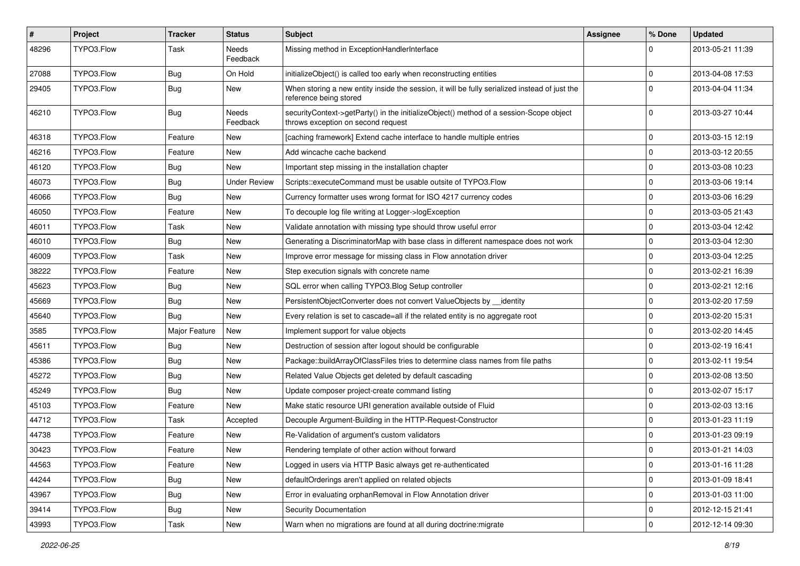| #     | Project    | <b>Tracker</b> | <b>Status</b>            | <b>Subject</b>                                                                                                               | <b>Assignee</b> | % Done      | <b>Updated</b>   |
|-------|------------|----------------|--------------------------|------------------------------------------------------------------------------------------------------------------------------|-----------------|-------------|------------------|
| 48296 | TYPO3.Flow | Task           | <b>Needs</b><br>Feedback | Missing method in ExceptionHandlerInterface                                                                                  |                 |             | 2013-05-21 11:39 |
| 27088 | TYPO3.Flow | Bug            | On Hold                  | initializeObject() is called too early when reconstructing entities                                                          |                 | $\mathbf 0$ | 2013-04-08 17:53 |
| 29405 | TYPO3.Flow | Bug            | New                      | When storing a new entity inside the session, it will be fully serialized instead of just the<br>reference being stored      |                 | $\Omega$    | 2013-04-04 11:34 |
| 46210 | TYPO3.Flow | Bug            | Needs<br>Feedback        | securityContext->getParty() in the initializeObject() method of a session-Scope object<br>throws exception on second request |                 | $\Omega$    | 2013-03-27 10:44 |
| 46318 | TYPO3.Flow | Feature        | New                      | [caching framework] Extend cache interface to handle multiple entries                                                        |                 | $\mathbf 0$ | 2013-03-15 12:19 |
| 46216 | TYPO3.Flow | Feature        | New                      | Add wincache cache backend                                                                                                   |                 | $\mathbf 0$ | 2013-03-12 20:55 |
| 46120 | TYPO3.Flow | Bug            | <b>New</b>               | Important step missing in the installation chapter                                                                           |                 | $\mathbf 0$ | 2013-03-08 10:23 |
| 46073 | TYPO3.Flow | Bug            | <b>Under Review</b>      | Scripts::executeCommand must be usable outsite of TYPO3.Flow                                                                 |                 | $\mathbf 0$ | 2013-03-06 19:14 |
| 46066 | TYPO3.Flow | Bug            | New                      | Currency formatter uses wrong format for ISO 4217 currency codes                                                             |                 | $\mathbf 0$ | 2013-03-06 16:29 |
| 46050 | TYPO3.Flow | Feature        | New                      | To decouple log file writing at Logger->logException                                                                         |                 | 0           | 2013-03-05 21:43 |
| 46011 | TYPO3.Flow | Task           | New                      | Validate annotation with missing type should throw useful error                                                              |                 | $\mathbf 0$ | 2013-03-04 12:42 |
| 46010 | TYPO3.Flow | Bug            | New                      | Generating a DiscriminatorMap with base class in different namespace does not work                                           |                 | $\mathbf 0$ | 2013-03-04 12:30 |
| 46009 | TYPO3.Flow | Task           | New                      | Improve error message for missing class in Flow annotation driver                                                            |                 | $\mathbf 0$ | 2013-03-04 12:25 |
| 38222 | TYPO3.Flow | Feature        | New                      | Step execution signals with concrete name                                                                                    |                 | $\mathbf 0$ | 2013-02-21 16:39 |
| 45623 | TYPO3.Flow | Bug            | New                      | SQL error when calling TYPO3.Blog Setup controller                                                                           |                 | 0           | 2013-02-21 12:16 |
| 45669 | TYPO3.Flow | Bug            | New                      | PersistentObjectConverter does not convert ValueObjects by identity                                                          |                 | $\mathbf 0$ | 2013-02-20 17:59 |
| 45640 | TYPO3.Flow | Bug            | New                      | Every relation is set to cascade=all if the related entity is no aggregate root                                              |                 | $\mathbf 0$ | 2013-02-20 15:31 |
| 3585  | TYPO3.Flow | Major Feature  | New                      | Implement support for value objects                                                                                          |                 | 0           | 2013-02-20 14:45 |
| 45611 | TYPO3.Flow | Bug            | New                      | Destruction of session after logout should be configurable                                                                   |                 | $\Omega$    | 2013-02-19 16:41 |
| 45386 | TYPO3.Flow | Bug            | New                      | Package::buildArrayOfClassFiles tries to determine class names from file paths                                               |                 | $\mathbf 0$ | 2013-02-11 19:54 |
| 45272 | TYPO3.Flow | Bug            | New                      | Related Value Objects get deleted by default cascading                                                                       |                 | $\mathbf 0$ | 2013-02-08 13:50 |
| 45249 | TYPO3.Flow | Bug            | New                      | Update composer project-create command listing                                                                               |                 | $\mathbf 0$ | 2013-02-07 15:17 |
| 45103 | TYPO3.Flow | Feature        | <b>New</b>               | Make static resource URI generation available outside of Fluid                                                               |                 | $\mathbf 0$ | 2013-02-03 13:16 |
| 44712 | TYPO3.Flow | Task           | Accepted                 | Decouple Argument-Building in the HTTP-Request-Constructor                                                                   |                 | $\mathbf 0$ | 2013-01-23 11:19 |
| 44738 | TYPO3.Flow | Feature        | New                      | Re-Validation of argument's custom validators                                                                                |                 | $\Omega$    | 2013-01-23 09:19 |
| 30423 | TYPO3.Flow | Feature        | New                      | Rendering template of other action without forward                                                                           |                 | $\Omega$    | 2013-01-21 14:03 |
| 44563 | TYPO3.Flow | Feature        | New                      | Logged in users via HTTP Basic always get re-authenticated                                                                   |                 | $\mathbf 0$ | 2013-01-16 11:28 |
| 44244 | TYPO3.Flow | <b>Bug</b>     | New                      | defaultOrderings aren't applied on related objects                                                                           |                 | $\mathbf 0$ | 2013-01-09 18:41 |
| 43967 | TYPO3.Flow | Bug            | New                      | Error in evaluating orphanRemoval in Flow Annotation driver                                                                  |                 | $\mathbf 0$ | 2013-01-03 11:00 |
| 39414 | TYPO3.Flow | Bug            | New                      | Security Documentation                                                                                                       |                 | $\mathbf 0$ | 2012-12-15 21:41 |
| 43993 | TYPO3.Flow | Task           | New                      | Warn when no migrations are found at all during doctrine: migrate                                                            |                 | $\mathbf 0$ | 2012-12-14 09:30 |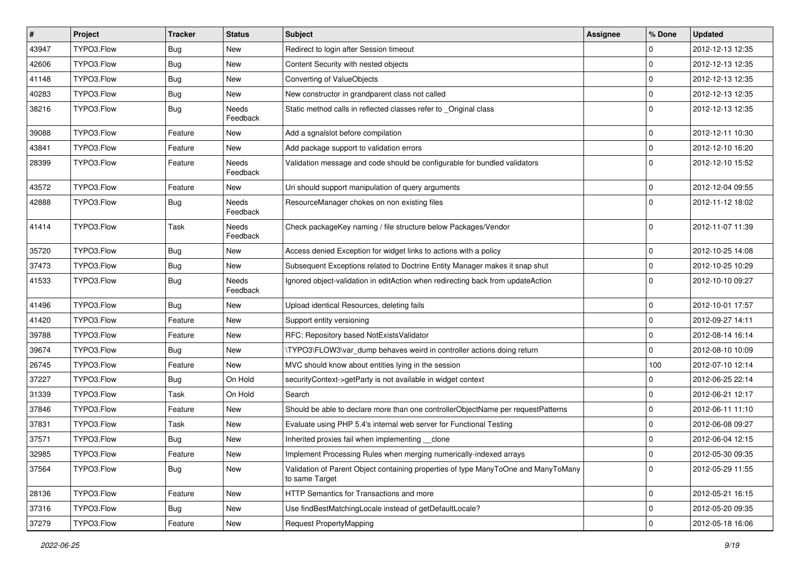| $\vert$ # | Project    | Tracker    | <b>Status</b>            | Subject                                                                                              | <b>Assignee</b> | % Done         | <b>Updated</b>   |
|-----------|------------|------------|--------------------------|------------------------------------------------------------------------------------------------------|-----------------|----------------|------------------|
| 43947     | TYPO3.Flow | <b>Bug</b> | New                      | Redirect to login after Session timeout                                                              |                 | $\mathbf 0$    | 2012-12-13 12:35 |
| 42606     | TYPO3.Flow | <b>Bug</b> | New                      | Content Security with nested objects                                                                 |                 | $\Omega$       | 2012-12-13 12:35 |
| 41148     | TYPO3.Flow | <b>Bug</b> | New                      | Converting of ValueObjects                                                                           |                 | $\overline{0}$ | 2012-12-13 12:35 |
| 40283     | TYPO3.Flow | <b>Bug</b> | New                      | New constructor in grandparent class not called                                                      |                 | 0              | 2012-12-13 12:35 |
| 38216     | TYPO3.Flow | Bug        | <b>Needs</b><br>Feedback | Static method calls in reflected classes refer to _Original class                                    |                 | l 0            | 2012-12-13 12:35 |
| 39088     | TYPO3.Flow | Feature    | New                      | Add a sgnalslot before compilation                                                                   |                 | $\Omega$       | 2012-12-11 10:30 |
| 43841     | TYPO3.Flow | Feature    | New                      | Add package support to validation errors                                                             |                 | 0              | 2012-12-10 16:20 |
| 28399     | TYPO3.Flow | Feature    | Needs<br>Feedback        | Validation message and code should be configurable for bundled validators                            |                 | $\Omega$       | 2012-12-10 15:52 |
| 43572     | TYPO3.Flow | Feature    | New                      | Uri should support manipulation of query arguments                                                   |                 | 0              | 2012-12-04 09:55 |
| 42888     | TYPO3.Flow | <b>Bug</b> | Needs<br>Feedback        | ResourceManager chokes on non existing files                                                         |                 | l O            | 2012-11-12 18:02 |
| 41414     | TYPO3.Flow | Task       | Needs<br>Feedback        | Check packageKey naming / file structure below Packages/Vendor                                       |                 | $\Omega$       | 2012-11-07 11:39 |
| 35720     | TYPO3.Flow | <b>Bug</b> | New                      | Access denied Exception for widget links to actions with a policy                                    |                 | 0              | 2012-10-25 14:08 |
| 37473     | TYPO3.Flow | <b>Bug</b> | New                      | Subsequent Exceptions related to Doctrine Entity Manager makes it snap shut                          |                 | 0              | 2012-10-25 10:29 |
| 41533     | TYPO3.Flow | <b>Bug</b> | Needs<br>Feedback        | Ignored object-validation in editAction when redirecting back from updateAction                      |                 | $\Omega$       | 2012-10-10 09:27 |
| 41496     | TYPO3.Flow | <b>Bug</b> | New                      | Upload identical Resources, deleting fails                                                           |                 | $\mathbf 0$    | 2012-10-01 17:57 |
| 41420     | TYPO3.Flow | Feature    | New                      | Support entity versioning                                                                            |                 | l 0            | 2012-09-27 14:11 |
| 39788     | TYPO3.Flow | Feature    | New                      | RFC: Repository based NotExistsValidator                                                             |                 | $\Omega$       | 2012-08-14 16:14 |
| 39674     | TYPO3.Flow | <b>Bug</b> | New                      | \TYPO3\FLOW3\var dump behaves weird in controller actions doing return                               |                 | $\Omega$       | 2012-08-10 10:09 |
| 26745     | TYPO3.Flow | Feature    | New                      | MVC should know about entities lying in the session                                                  |                 | 100            | 2012-07-10 12:14 |
| 37227     | TYPO3.Flow | <b>Bug</b> | On Hold                  | securityContext->getParty is not available in widget context                                         |                 | $\Omega$       | 2012-06-25 22:14 |
| 31339     | TYPO3.Flow | Task       | On Hold                  | Search                                                                                               |                 | $\Omega$       | 2012-06-21 12:17 |
| 37846     | TYPO3.Flow | Feature    | New                      | Should be able to declare more than one controllerObjectName per requestPatterns                     |                 | $\overline{0}$ | 2012-06-11 11:10 |
| 37831     | TYPO3.Flow | Task       | New                      | Evaluate using PHP 5.4's internal web server for Functional Testing                                  |                 | $\overline{0}$ | 2012-06-08 09:27 |
| 37571     | TYPO3.Flow | <b>Bug</b> | New                      | Inherited proxies fail when implementing __clone                                                     |                 | $\mathbf 0$    | 2012-06-04 12:15 |
| 32985     | TYPO3.Flow | Feature    | New                      | Implement Processing Rules when merging numerically-indexed arrays                                   |                 | O              | 2012-05-30 09:35 |
| 37564     | TYPO3.Flow | <b>Bug</b> | New                      | Validation of Parent Object containing properties of type ManyToOne and ManyToMany<br>to same Target |                 | $\overline{0}$ | 2012-05-29 11:55 |
| 28136     | TYPO3.Flow | Feature    | New                      | HTTP Semantics for Transactions and more                                                             |                 | 0              | 2012-05-21 16:15 |
| 37316     | TYPO3.Flow | Bug        | New                      | Use findBestMatchingLocale instead of getDefaultLocale?                                              |                 | 0              | 2012-05-20 09:35 |
| 37279     | TYPO3.Flow | Feature    | New                      | Request PropertyMapping                                                                              |                 | 0              | 2012-05-18 16:06 |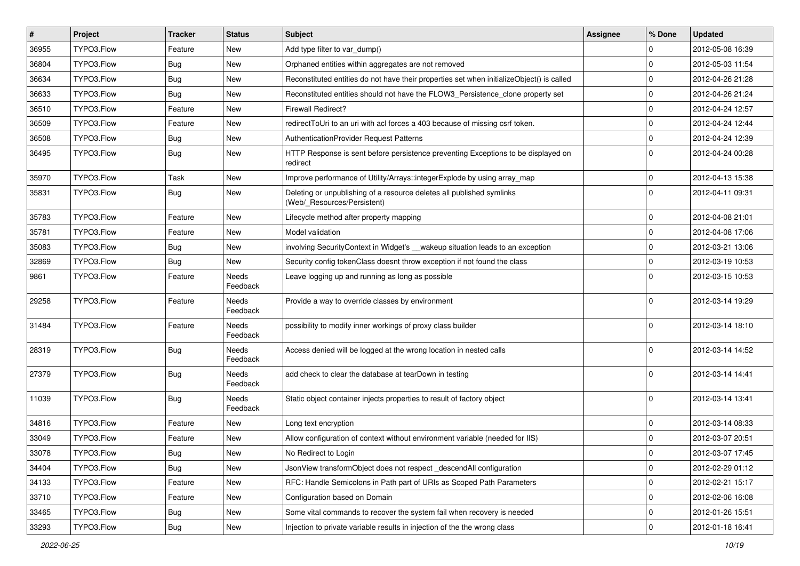| #     | Project    | <b>Tracker</b> | <b>Status</b>     | <b>Subject</b>                                                                                       | <b>Assignee</b> | % Done      | <b>Updated</b>   |
|-------|------------|----------------|-------------------|------------------------------------------------------------------------------------------------------|-----------------|-------------|------------------|
| 36955 | TYPO3.Flow | Feature        | New               | Add type filter to var dump()                                                                        |                 | $\Omega$    | 2012-05-08 16:39 |
| 36804 | TYPO3.Flow | Bug            | New               | Orphaned entities within aggregates are not removed                                                  |                 | $\Omega$    | 2012-05-03 11:54 |
| 36634 | TYPO3.Flow | Bug            | New               | Reconstituted entities do not have their properties set when initializeObject() is called            |                 | $\Omega$    | 2012-04-26 21:28 |
| 36633 | TYPO3.Flow | Bug            | New               | Reconstituted entities should not have the FLOW3_Persistence_clone property set                      |                 | 0           | 2012-04-26 21:24 |
| 36510 | TYPO3.Flow | Feature        | New               | <b>Firewall Redirect?</b>                                                                            |                 | 0           | 2012-04-24 12:57 |
| 36509 | TYPO3.Flow | Feature        | New               | redirect ToUri to an uri with acl forces a 403 because of missing csrf token.                        |                 | $\mathbf 0$ | 2012-04-24 12:44 |
| 36508 | TYPO3.Flow | Bug            | New               | <b>AuthenticationProvider Request Patterns</b>                                                       |                 | $\Omega$    | 2012-04-24 12:39 |
| 36495 | TYPO3.Flow | Bug            | New               | HTTP Response is sent before persistence preventing Exceptions to be displayed on<br>redirect        |                 | $\Omega$    | 2012-04-24 00:28 |
| 35970 | TYPO3.Flow | Task           | New               | Improve performance of Utility/Arrays::integerExplode by using array_map                             |                 | $\mathbf 0$ | 2012-04-13 15:38 |
| 35831 | TYPO3.Flow | Bug            | New               | Deleting or unpublishing of a resource deletes all published symlinks<br>(Web/_Resources/Persistent) |                 | $\Omega$    | 2012-04-11 09:31 |
| 35783 | TYPO3.Flow | Feature        | New               | Lifecycle method after property mapping                                                              |                 | 0           | 2012-04-08 21:01 |
| 35781 | TYPO3.Flow | Feature        | New               | Model validation                                                                                     |                 | $\mathbf 0$ | 2012-04-08 17:06 |
| 35083 | TYPO3.Flow | Bug            | New               | involving SecurityContext in Widget's __wakeup situation leads to an exception                       |                 | $\mathbf 0$ | 2012-03-21 13:06 |
| 32869 | TYPO3.Flow | Bug            | New               | Security config tokenClass doesnt throw exception if not found the class                             |                 | 0           | 2012-03-19 10:53 |
| 9861  | TYPO3.Flow | Feature        | Needs<br>Feedback | Leave logging up and running as long as possible                                                     |                 | $\Omega$    | 2012-03-15 10:53 |
| 29258 | TYPO3.Flow | Feature        | Needs<br>Feedback | Provide a way to override classes by environment                                                     |                 | $\Omega$    | 2012-03-14 19:29 |
| 31484 | TYPO3.Flow | Feature        | Needs<br>Feedback | possibility to modify inner workings of proxy class builder                                          |                 | $\Omega$    | 2012-03-14 18:10 |
| 28319 | TYPO3.Flow | Bug            | Needs<br>Feedback | Access denied will be logged at the wrong location in nested calls                                   |                 | $\Omega$    | 2012-03-14 14:52 |
| 27379 | TYPO3.Flow | Bug            | Needs<br>Feedback | add check to clear the database at tearDown in testing                                               |                 | $\Omega$    | 2012-03-14 14:41 |
| 11039 | TYPO3.Flow | Bug            | Needs<br>Feedback | Static object container injects properties to result of factory object                               |                 | $\Omega$    | 2012-03-14 13:41 |
| 34816 | TYPO3.Flow | Feature        | New               | Long text encryption                                                                                 |                 | $\mathbf 0$ | 2012-03-14 08:33 |
| 33049 | TYPO3.Flow | Feature        | New               | Allow configuration of context without environment variable (needed for IIS)                         |                 | 0           | 2012-03-07 20:51 |
| 33078 | TYPO3.Flow | Bug            | New               | No Redirect to Login                                                                                 |                 | 0           | 2012-03-07 17:45 |
| 34404 | TYPO3.Flow | <b>Bug</b>     | New               | JsonView transformObject does not respect descendAll configuration                                   |                 | $\mathbf 0$ | 2012-02-29 01:12 |
| 34133 | TYPO3.Flow | Feature        | New               | RFC: Handle Semicolons in Path part of URIs as Scoped Path Parameters                                |                 | $\mathbf 0$ | 2012-02-21 15:17 |
| 33710 | TYPO3.Flow | Feature        | New               | Configuration based on Domain                                                                        |                 | $\mathbf 0$ | 2012-02-06 16:08 |
| 33465 | TYPO3.Flow | Bug            | New               | Some vital commands to recover the system fail when recovery is needed                               |                 | 0           | 2012-01-26 15:51 |
| 33293 | TYPO3.Flow | Bug            | New               | Injection to private variable results in injection of the the wrong class                            |                 | $\mathsf 0$ | 2012-01-18 16:41 |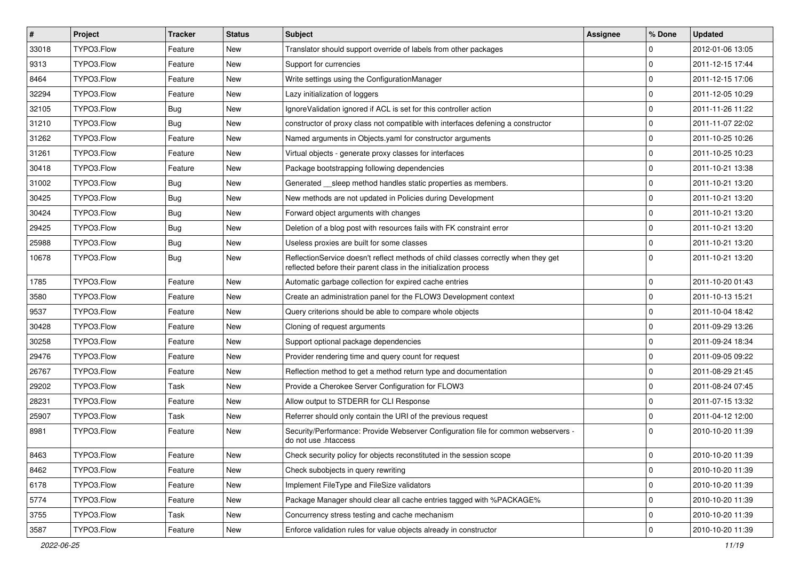| $\vert$ # | Project    | <b>Tracker</b> | <b>Status</b> | <b>Subject</b>                                                                                                                                          | Assignee | % Done      | <b>Updated</b>   |
|-----------|------------|----------------|---------------|---------------------------------------------------------------------------------------------------------------------------------------------------------|----------|-------------|------------------|
| 33018     | TYPO3.Flow | Feature        | New           | Translator should support override of labels from other packages                                                                                        |          | 0           | 2012-01-06 13:05 |
| 9313      | TYPO3.Flow | Feature        | <b>New</b>    | Support for currencies                                                                                                                                  |          | $\mathbf 0$ | 2011-12-15 17:44 |
| 8464      | TYPO3.Flow | Feature        | New           | Write settings using the ConfigurationManager                                                                                                           |          | 0           | 2011-12-15 17:06 |
| 32294     | TYPO3.Flow | Feature        | New           | Lazy initialization of loggers                                                                                                                          |          | 0           | 2011-12-05 10:29 |
| 32105     | TYPO3.Flow | <b>Bug</b>     | <b>New</b>    | IgnoreValidation ignored if ACL is set for this controller action                                                                                       |          | 0           | 2011-11-26 11:22 |
| 31210     | TYPO3.Flow | <b>Bug</b>     | New           | constructor of proxy class not compatible with interfaces defening a constructor                                                                        |          | $\mathbf 0$ | 2011-11-07 22:02 |
| 31262     | TYPO3.Flow | Feature        | New           | Named arguments in Objects.yaml for constructor arguments                                                                                               |          | $\mathbf 0$ | 2011-10-25 10:26 |
| 31261     | TYPO3.Flow | Feature        | New           | Virtual objects - generate proxy classes for interfaces                                                                                                 |          | $\mathbf 0$ | 2011-10-25 10:23 |
| 30418     | TYPO3.Flow | Feature        | New           | Package bootstrapping following dependencies                                                                                                            |          | $\mathbf 0$ | 2011-10-21 13:38 |
| 31002     | TYPO3.Flow | <b>Bug</b>     | New           | Generated __sleep method handles static properties as members.                                                                                          |          | 0           | 2011-10-21 13:20 |
| 30425     | TYPO3.Flow | Bug            | New           | New methods are not updated in Policies during Development                                                                                              |          | $\mathbf 0$ | 2011-10-21 13:20 |
| 30424     | TYPO3.Flow | Bug            | New           | Forward object arguments with changes                                                                                                                   |          | 0           | 2011-10-21 13:20 |
| 29425     | TYPO3.Flow | Bug            | New           | Deletion of a blog post with resources fails with FK constraint error                                                                                   |          | 0           | 2011-10-21 13:20 |
| 25988     | TYPO3.Flow | <b>Bug</b>     | New           | Useless proxies are built for some classes                                                                                                              |          | $\mathbf 0$ | 2011-10-21 13:20 |
| 10678     | TYPO3.Flow | Bug            | New           | ReflectionService doesn't reflect methods of child classes correctly when they get<br>reflected before their parent class in the initialization process |          | $\Omega$    | 2011-10-21 13:20 |
| 1785      | TYPO3.Flow | Feature        | <b>New</b>    | Automatic garbage collection for expired cache entries                                                                                                  |          | 0           | 2011-10-20 01:43 |
| 3580      | TYPO3.Flow | Feature        | New           | Create an administration panel for the FLOW3 Development context                                                                                        |          | $\mathbf 0$ | 2011-10-13 15:21 |
| 9537      | TYPO3.Flow | Feature        | New           | Query criterions should be able to compare whole objects                                                                                                |          | $\mathbf 0$ | 2011-10-04 18:42 |
| 30428     | TYPO3.Flow | Feature        | <b>New</b>    | Cloning of request arguments                                                                                                                            |          | 0           | 2011-09-29 13:26 |
| 30258     | TYPO3.Flow | Feature        | <b>New</b>    | Support optional package dependencies                                                                                                                   |          | 0           | 2011-09-24 18:34 |
| 29476     | TYPO3.Flow | Feature        | New           | Provider rendering time and query count for request                                                                                                     |          | 0           | 2011-09-05 09:22 |
| 26767     | TYPO3.Flow | Feature        | New           | Reflection method to get a method return type and documentation                                                                                         |          | 0           | 2011-08-29 21:45 |
| 29202     | TYPO3.Flow | Task           | New           | Provide a Cherokee Server Configuration for FLOW3                                                                                                       |          | $\mathbf 0$ | 2011-08-24 07:45 |
| 28231     | TYPO3.Flow | Feature        | New           | Allow output to STDERR for CLI Response                                                                                                                 |          | $\mathbf 0$ | 2011-07-15 13:32 |
| 25907     | TYPO3.Flow | Task           | <b>New</b>    | Referrer should only contain the URI of the previous request                                                                                            |          | 0           | 2011-04-12 12:00 |
| 8981      | TYPO3.Flow | Feature        | New           | Security/Performance: Provide Webserver Configuration file for common webservers -<br>do not use .htaccess                                              |          | $\Omega$    | 2010-10-20 11:39 |
| 8463      | TYPO3.Flow | Feature        | New           | Check security policy for objects reconstituted in the session scope                                                                                    |          | $\pmb{0}$   | 2010-10-20 11:39 |
| 8462      | TYPO3.Flow | Feature        | New           | Check subobjects in query rewriting                                                                                                                     |          | 0           | 2010-10-20 11:39 |
| 6178      | TYPO3.Flow | Feature        | New           | Implement FileType and FileSize validators                                                                                                              |          | 0           | 2010-10-20 11:39 |
| 5774      | TYPO3.Flow | Feature        | New           | Package Manager should clear all cache entries tagged with %PACKAGE%                                                                                    |          | 0           | 2010-10-20 11:39 |
| 3755      | TYPO3.Flow | Task           | New           | Concurrency stress testing and cache mechanism                                                                                                          |          | 0           | 2010-10-20 11:39 |
| 3587      | TYPO3.Flow | Feature        | New           | Enforce validation rules for value objects already in constructor                                                                                       |          | $\mathbf 0$ | 2010-10-20 11:39 |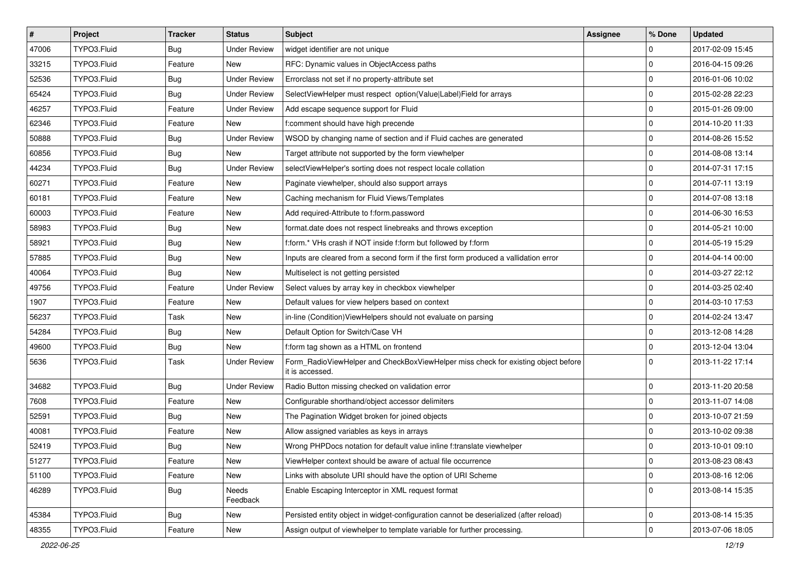| $\pmb{\#}$ | Project     | <b>Tracker</b> | <b>Status</b>       | Subject                                                                                              | <b>Assignee</b> | % Done              | <b>Updated</b>   |
|------------|-------------|----------------|---------------------|------------------------------------------------------------------------------------------------------|-----------------|---------------------|------------------|
| 47006      | TYPO3.Fluid | <b>Bug</b>     | <b>Under Review</b> | widget identifier are not unique                                                                     |                 | $\mathbf 0$         | 2017-02-09 15:45 |
| 33215      | TYPO3.Fluid | Feature        | <b>New</b>          | RFC: Dynamic values in ObjectAccess paths                                                            |                 | $\mathbf 0$         | 2016-04-15 09:26 |
| 52536      | TYPO3.Fluid | <b>Bug</b>     | <b>Under Review</b> | Errorclass not set if no property-attribute set                                                      |                 | $\mathbf 0$         | 2016-01-06 10:02 |
| 65424      | TYPO3.Fluid | <b>Bug</b>     | <b>Under Review</b> | SelectViewHelper must respect option(Value Label)Field for arrays                                    |                 | $\mathbf 0$         | 2015-02-28 22:23 |
| 46257      | TYPO3.Fluid | Feature        | <b>Under Review</b> | Add escape sequence support for Fluid                                                                |                 | $\mathbf 0$         | 2015-01-26 09:00 |
| 62346      | TYPO3.Fluid | Feature        | New                 | f:comment should have high precende                                                                  |                 | $\mathbf 0$         | 2014-10-20 11:33 |
| 50888      | TYPO3.Fluid | <b>Bug</b>     | <b>Under Review</b> | WSOD by changing name of section and if Fluid caches are generated                                   |                 | $\mathbf 0$         | 2014-08-26 15:52 |
| 60856      | TYPO3.Fluid | <b>Bug</b>     | New                 | Target attribute not supported by the form viewhelper                                                |                 | $\mathbf 0$         | 2014-08-08 13:14 |
| 44234      | TYPO3.Fluid | <b>Bug</b>     | <b>Under Review</b> | selectViewHelper's sorting does not respect locale collation                                         |                 | $\mathbf 0$         | 2014-07-31 17:15 |
| 60271      | TYPO3.Fluid | Feature        | New                 | Paginate viewhelper, should also support arrays                                                      |                 | $\mathbf 0$         | 2014-07-11 13:19 |
| 60181      | TYPO3.Fluid | Feature        | New                 | Caching mechanism for Fluid Views/Templates                                                          |                 | $\mathbf 0$         | 2014-07-08 13:18 |
| 60003      | TYPO3.Fluid | Feature        | New                 | Add required-Attribute to f:form.password                                                            |                 | $\mathbf 0$         | 2014-06-30 16:53 |
| 58983      | TYPO3.Fluid | <b>Bug</b>     | New                 | format.date does not respect linebreaks and throws exception                                         |                 | $\mathbf 0$         | 2014-05-21 10:00 |
| 58921      | TYPO3.Fluid | <b>Bug</b>     | New                 | f:form.* VHs crash if NOT inside f:form but followed by f:form                                       |                 | $\mathbf 0$         | 2014-05-19 15:29 |
| 57885      | TYPO3.Fluid | <b>Bug</b>     | New                 | Inputs are cleared from a second form if the first form produced a vallidation error                 |                 | $\mathbf 0$         | 2014-04-14 00:00 |
| 40064      | TYPO3.Fluid | <b>Bug</b>     | New                 | Multiselect is not getting persisted                                                                 |                 | $\mathbf 0$         | 2014-03-27 22:12 |
| 49756      | TYPO3.Fluid | Feature        | <b>Under Review</b> | Select values by array key in checkbox viewhelper                                                    |                 | $\mathbf 0$         | 2014-03-25 02:40 |
| 1907       | TYPO3.Fluid | Feature        | New                 | Default values for view helpers based on context                                                     |                 | $\mathbf 0$         | 2014-03-10 17:53 |
| 56237      | TYPO3.Fluid | Task           | New                 | in-line (Condition) ViewHelpers should not evaluate on parsing                                       |                 | $\mathbf 0$         | 2014-02-24 13:47 |
| 54284      | TYPO3.Fluid | <b>Bug</b>     | New                 | Default Option for Switch/Case VH                                                                    |                 | $\mathbf 0$         | 2013-12-08 14:28 |
| 49600      | TYPO3.Fluid | <b>Bug</b>     | New                 | f:form tag shown as a HTML on frontend                                                               |                 | $\mathbf 0$         | 2013-12-04 13:04 |
| 5636       | TYPO3.Fluid | Task           | <b>Under Review</b> | Form_RadioViewHelper and CheckBoxViewHelper miss check for existing object before<br>it is accessed. |                 | $\Omega$            | 2013-11-22 17:14 |
| 34682      | TYPO3.Fluid | <b>Bug</b>     | <b>Under Review</b> | Radio Button missing checked on validation error                                                     |                 | $\mathbf 0$         | 2013-11-20 20:58 |
| 7608       | TYPO3.Fluid | Feature        | New                 | Configurable shorthand/object accessor delimiters                                                    |                 | $\mathbf 0$         | 2013-11-07 14:08 |
| 52591      | TYPO3.Fluid | <b>Bug</b>     | New                 | The Pagination Widget broken for joined objects                                                      |                 | $\mathbf 0$         | 2013-10-07 21:59 |
| 40081      | TYPO3.Fluid | Feature        | New                 | Allow assigned variables as keys in arrays                                                           |                 | $\mathbf 0$         | 2013-10-02 09:38 |
| 52419      | TYPO3.Fluid | Bug            | New                 | Wrong PHPDocs notation for default value inline f:translate viewhelper                               |                 | $\mathbf 0$         | 2013-10-01 09:10 |
| 51277      | TYPO3.Fluid | Feature        | New                 | ViewHelper context should be aware of actual file occurrence                                         |                 | 0                   | 2013-08-23 08:43 |
| 51100      | TYPO3.Fluid | Feature        | New                 | Links with absolute URI should have the option of URI Scheme                                         |                 | $\pmb{0}$           | 2013-08-16 12:06 |
| 46289      | TYPO3.Fluid | <b>Bug</b>     | Needs<br>Feedback   | Enable Escaping Interceptor in XML request format                                                    |                 | $\mathbf 0$         | 2013-08-14 15:35 |
| 45384      | TYPO3.Fluid | <b>Bug</b>     | New                 | Persisted entity object in widget-configuration cannot be deserialized (after reload)                |                 | $\mathbf 0$         | 2013-08-14 15:35 |
| 48355      | TYPO3.Fluid | Feature        | New                 | Assign output of viewhelper to template variable for further processing.                             |                 | $\mathsf{O}\xspace$ | 2013-07-06 18:05 |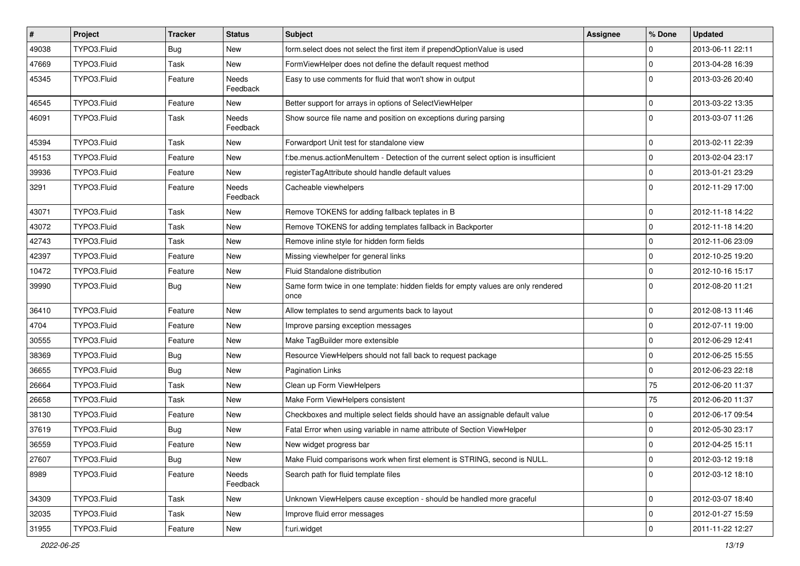| $\vert$ # | Project     | <b>Tracker</b> | <b>Status</b>     | Subject                                                                                   | <b>Assignee</b> | % Done       | <b>Updated</b>   |
|-----------|-------------|----------------|-------------------|-------------------------------------------------------------------------------------------|-----------------|--------------|------------------|
| 49038     | TYPO3.Fluid | Bug            | New               | form select does not select the first item if prependOptionValue is used                  |                 | 0            | 2013-06-11 22:11 |
| 47669     | TYPO3.Fluid | Task           | New               | FormViewHelper does not define the default request method                                 |                 | 0            | 2013-04-28 16:39 |
| 45345     | TYPO3.Fluid | Feature        | Needs<br>Feedback | Easy to use comments for fluid that won't show in output                                  |                 | $\Omega$     | 2013-03-26 20:40 |
| 46545     | TYPO3.Fluid | Feature        | New               | Better support for arrays in options of SelectViewHelper                                  |                 | $\mathbf 0$  | 2013-03-22 13:35 |
| 46091     | TYPO3.Fluid | Task           | Needs<br>Feedback | Show source file name and position on exceptions during parsing                           |                 | $\mathbf 0$  | 2013-03-07 11:26 |
| 45394     | TYPO3.Fluid | Task           | New               | Forwardport Unit test for standalone view                                                 |                 | $\mathbf 0$  | 2013-02-11 22:39 |
| 45153     | TYPO3.Fluid | Feature        | New               | f:be.menus.actionMenuItem - Detection of the current select option is insufficient        |                 | 0            | 2013-02-04 23:17 |
| 39936     | TYPO3.Fluid | Feature        | New               | registerTagAttribute should handle default values                                         |                 | 0            | 2013-01-21 23:29 |
| 3291      | TYPO3.Fluid | Feature        | Needs<br>Feedback | Cacheable viewhelpers                                                                     |                 | $\Omega$     | 2012-11-29 17:00 |
| 43071     | TYPO3.Fluid | Task           | New               | Remove TOKENS for adding fallback teplates in B                                           |                 | $\mathbf 0$  | 2012-11-18 14:22 |
| 43072     | TYPO3.Fluid | Task           | New               | Remove TOKENS for adding templates fallback in Backporter                                 |                 | 0            | 2012-11-18 14:20 |
| 42743     | TYPO3.Fluid | Task           | New               | Remove inline style for hidden form fields                                                |                 | 0            | 2012-11-06 23:09 |
| 42397     | TYPO3.Fluid | Feature        | New               | Missing viewhelper for general links                                                      |                 | 0            | 2012-10-25 19:20 |
| 10472     | TYPO3.Fluid | Feature        | New               | Fluid Standalone distribution                                                             |                 | 0            | 2012-10-16 15:17 |
| 39990     | TYPO3.Fluid | Bug            | New               | Same form twice in one template: hidden fields for empty values are only rendered<br>once |                 | $\Omega$     | 2012-08-20 11:21 |
| 36410     | TYPO3.Fluid | Feature        | New               | Allow templates to send arguments back to layout                                          |                 | 0            | 2012-08-13 11:46 |
| 4704      | TYPO3.Fluid | Feature        | New               | Improve parsing exception messages                                                        |                 | $\mathbf 0$  | 2012-07-11 19:00 |
| 30555     | TYPO3.Fluid | Feature        | New               | Make TagBuilder more extensible                                                           |                 | 0            | 2012-06-29 12:41 |
| 38369     | TYPO3.Fluid | <b>Bug</b>     | New               | Resource ViewHelpers should not fall back to request package                              |                 | 0            | 2012-06-25 15:55 |
| 36655     | TYPO3.Fluid | Bug            | New               | <b>Pagination Links</b>                                                                   |                 | 0            | 2012-06-23 22:18 |
| 26664     | TYPO3.Fluid | Task           | New               | Clean up Form ViewHelpers                                                                 |                 | 75           | 2012-06-20 11:37 |
| 26658     | TYPO3.Fluid | Task           | New               | Make Form ViewHelpers consistent                                                          |                 | 75           | 2012-06-20 11:37 |
| 38130     | TYPO3.Fluid | Feature        | New               | Checkboxes and multiple select fields should have an assignable default value             |                 | $\mathbf 0$  | 2012-06-17 09:54 |
| 37619     | TYPO3.Fluid | Bug            | New               | Fatal Error when using variable in name attribute of Section ViewHelper                   |                 | $\mathbf 0$  | 2012-05-30 23:17 |
| 36559     | TYPO3.Fluid | Feature        | New               | New widget progress bar                                                                   |                 | 0            | 2012-04-25 15:11 |
| 27607     | TYPO3.Fluid | <b>Bug</b>     | New               | Make Fluid comparisons work when first element is STRING, second is NULL.                 |                 | 0            | 2012-03-12 19:18 |
| 8989      | TYPO3.Fluid | Feature        | Needs<br>Feedback | Search path for fluid template files                                                      |                 | $\mathbf{0}$ | 2012-03-12 18:10 |
| 34309     | TYPO3.Fluid | Task           | New               | Unknown ViewHelpers cause exception - should be handled more graceful                     |                 | 0            | 2012-03-07 18:40 |
| 32035     | TYPO3.Fluid | Task           | New               | Improve fluid error messages                                                              |                 | 0            | 2012-01-27 15:59 |
| 31955     | TYPO3.Fluid | Feature        | New               | f:uri.widget                                                                              |                 | 0            | 2011-11-22 12:27 |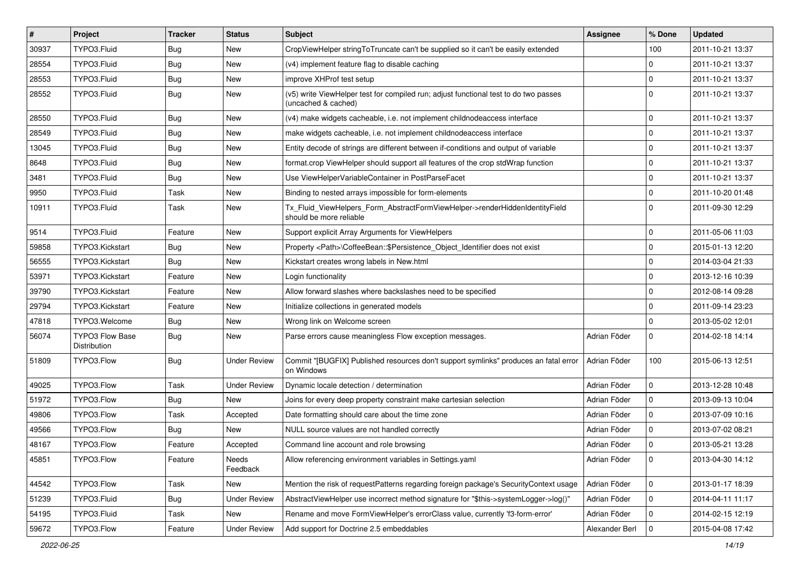| #     | Project                                | <b>Tracker</b> | <b>Status</b>       | <b>Subject</b>                                                                                              | <b>Assignee</b> | % Done      | <b>Updated</b>   |
|-------|----------------------------------------|----------------|---------------------|-------------------------------------------------------------------------------------------------------------|-----------------|-------------|------------------|
| 30937 | TYPO3.Fluid                            | Bug            | New                 | CropViewHelper stringToTruncate can't be supplied so it can't be easily extended                            |                 | 100         | 2011-10-21 13:37 |
| 28554 | TYPO3.Fluid                            | Bug            | <b>New</b>          | (v4) implement feature flag to disable caching                                                              |                 | $\mathbf 0$ | 2011-10-21 13:37 |
| 28553 | TYPO3.Fluid                            | Bug            | New                 | improve XHProf test setup                                                                                   |                 | $\mathbf 0$ | 2011-10-21 13:37 |
| 28552 | TYPO3.Fluid                            | Bug            | New                 | (v5) write ViewHelper test for compiled run; adjust functional test to do two passes<br>(uncached & cached) |                 | $\Omega$    | 2011-10-21 13:37 |
| 28550 | TYPO3.Fluid                            | Bug            | <b>New</b>          | (v4) make widgets cacheable, i.e. not implement childnodeaccess interface                                   |                 | $\mathbf 0$ | 2011-10-21 13:37 |
| 28549 | TYPO3.Fluid                            | Bug            | New                 | make widgets cacheable, i.e. not implement childnodeaccess interface                                        |                 | $\mathbf 0$ | 2011-10-21 13:37 |
| 13045 | TYPO3.Fluid                            | Bug            | New                 | Entity decode of strings are different between if-conditions and output of variable                         |                 | $\mathbf 0$ | 2011-10-21 13:37 |
| 8648  | TYPO3.Fluid                            | Bug            | New                 | format.crop ViewHelper should support all features of the crop stdWrap function                             |                 | $\mathbf 0$ | 2011-10-21 13:37 |
| 3481  | TYPO3.Fluid                            | <b>Bug</b>     | New                 | Use ViewHelperVariableContainer in PostParseFacet                                                           |                 | $\mathbf 0$ | 2011-10-21 13:37 |
| 9950  | TYPO3.Fluid                            | Task           | New                 | Binding to nested arrays impossible for form-elements                                                       |                 | $\mathbf 0$ | 2011-10-20 01:48 |
| 10911 | TYPO3.Fluid                            | Task           | New                 | Tx_Fluid_ViewHelpers_Form_AbstractFormViewHelper->renderHiddenIdentityField<br>should be more reliable      |                 | $\Omega$    | 2011-09-30 12:29 |
| 9514  | TYPO3.Fluid                            | Feature        | New                 | Support explicit Array Arguments for ViewHelpers                                                            |                 | $\mathbf 0$ | 2011-05-06 11:03 |
| 59858 | TYPO3.Kickstart                        | Bug            | New                 | Property <path>\CoffeeBean::\$Persistence_Object_Identifier does not exist</path>                           |                 | $\mathbf 0$ | 2015-01-13 12:20 |
| 56555 | TYPO3.Kickstart                        | Bug            | New                 | Kickstart creates wrong labels in New.html                                                                  |                 | $\mathbf 0$ | 2014-03-04 21:33 |
| 53971 | TYPO3.Kickstart                        | Feature        | New                 | Login functionality                                                                                         |                 | $\mathbf 0$ | 2013-12-16 10:39 |
| 39790 | TYPO3.Kickstart                        | Feature        | New                 | Allow forward slashes where backslashes need to be specified                                                |                 | $\mathbf 0$ | 2012-08-14 09:28 |
| 29794 | TYPO3.Kickstart                        | Feature        | New                 | Initialize collections in generated models                                                                  |                 | $\mathbf 0$ | 2011-09-14 23:23 |
| 47818 | TYPO3.Welcome                          | Bug            | New                 | Wrong link on Welcome screen                                                                                |                 | $\mathbf 0$ | 2013-05-02 12:01 |
| 56074 | <b>TYPO3 Flow Base</b><br>Distribution | Bug            | New                 | Parse errors cause meaningless Flow exception messages.                                                     | Adrian Föder    | $\mathbf 0$ | 2014-02-18 14:14 |
| 51809 | TYPO3.Flow                             | Bug            | <b>Under Review</b> | Commit "[BUGFIX] Published resources don't support symlinks" produces an fatal error<br>on Windows          | Adrian Föder    | 100         | 2015-06-13 12:51 |
| 49025 | TYPO3.Flow                             | Task           | <b>Under Review</b> | Dynamic locale detection / determination                                                                    | Adrian Föder    | 0           | 2013-12-28 10:48 |
| 51972 | TYPO3.Flow                             | Bug            | New                 | Joins for every deep property constraint make cartesian selection                                           | Adrian Föder    | 0           | 2013-09-13 10:04 |
| 49806 | TYPO3.Flow                             | Task           | Accepted            | Date formatting should care about the time zone                                                             | Adrian Föder    | $\mathbf 0$ | 2013-07-09 10:16 |
| 49566 | TYPO3.Flow                             | Bug            | New                 | NULL source values are not handled correctly                                                                | Adrian Föder    | $\mathbf 0$ | 2013-07-02 08:21 |
| 48167 | TYPO3.Flow                             | Feature        | Accepted            | Command line account and role browsing                                                                      | Adrian Föder    | $\mathbf 0$ | 2013-05-21 13:28 |
| 45851 | TYPO3.Flow                             | Feature        | Needs<br>Feedback   | Allow referencing environment variables in Settings.yaml                                                    | Adrian Föder    | 0           | 2013-04-30 14:12 |
| 44542 | TYPO3.Flow                             | Task           | New                 | Mention the risk of requestPatterns regarding foreign package's SecurityContext usage                       | Adrian Föder    | 0           | 2013-01-17 18:39 |
| 51239 | TYPO3.Fluid                            | Bug            | <b>Under Review</b> | AbstractViewHelper use incorrect method signature for "\$this->systemLogger->log()"                         | Adrian Föder    | 0           | 2014-04-11 11:17 |
| 54195 | TYPO3.Fluid                            | Task           | New                 | Rename and move FormViewHelper's errorClass value, currently 'f3-form-error'                                | Adrian Föder    | 0           | 2014-02-15 12:19 |
| 59672 | TYPO3.Flow                             | Feature        | <b>Under Review</b> | Add support for Doctrine 2.5 embeddables                                                                    | Alexander Berl  | 0           | 2015-04-08 17:42 |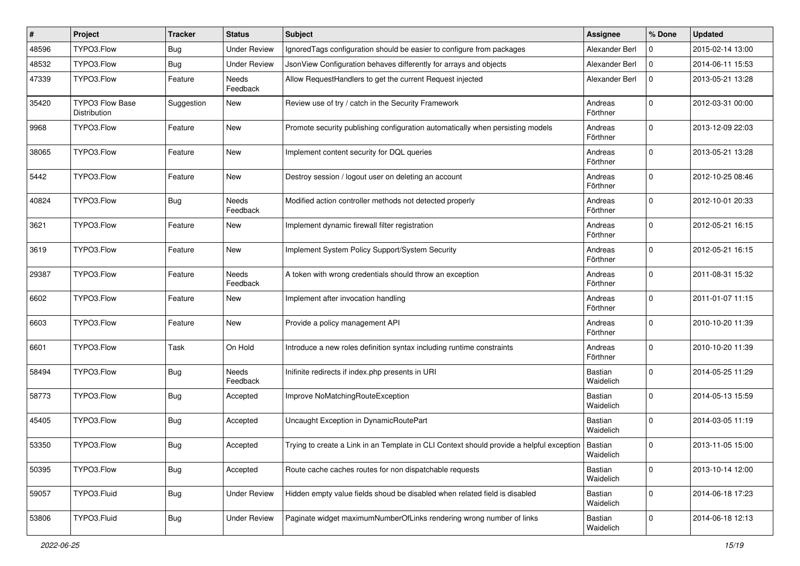| #     | Project                                | <b>Tracker</b> | <b>Status</b>            | <b>Subject</b>                                                                           | <b>Assignee</b>      | % Done      | <b>Updated</b>   |
|-------|----------------------------------------|----------------|--------------------------|------------------------------------------------------------------------------------------|----------------------|-------------|------------------|
| 48596 | TYPO3.Flow                             | <b>Bug</b>     | <b>Under Review</b>      | Ignored Tags configuration should be easier to configure from packages                   | Alexander Berl       | 0           | 2015-02-14 13:00 |
| 48532 | TYPO3.Flow                             | <b>Bug</b>     | <b>Under Review</b>      | JsonView Configuration behaves differently for arrays and objects                        | Alexander Berl       | $\mathbf 0$ | 2014-06-11 15:53 |
| 47339 | TYPO3.Flow                             | Feature        | Needs<br>Feedback        | Allow RequestHandlers to get the current Request injected                                | Alexander Berl       | $\mathbf 0$ | 2013-05-21 13:28 |
| 35420 | <b>TYPO3 Flow Base</b><br>Distribution | Suggestion     | New                      | Review use of try / catch in the Security Framework                                      | Andreas<br>Förthner  | $\mathbf 0$ | 2012-03-31 00:00 |
| 9968  | TYPO3.Flow                             | Feature        | New                      | Promote security publishing configuration automatically when persisting models           | Andreas<br>Förthner  | $\Omega$    | 2013-12-09 22:03 |
| 38065 | TYPO3.Flow                             | Feature        | New                      | Implement content security for DQL queries                                               | Andreas<br>Förthner  | $\mathbf 0$ | 2013-05-21 13:28 |
| 5442  | TYPO3.Flow                             | Feature        | New                      | Destroy session / logout user on deleting an account                                     | Andreas<br>Förthner  | $\mathbf 0$ | 2012-10-25 08:46 |
| 40824 | TYPO3.Flow                             | Bug            | <b>Needs</b><br>Feedback | Modified action controller methods not detected properly                                 | Andreas<br>Förthner  | $\mathbf 0$ | 2012-10-01 20:33 |
| 3621  | TYPO3.Flow                             | Feature        | New                      | Implement dynamic firewall filter registration                                           | Andreas<br>Förthner  | $\Omega$    | 2012-05-21 16:15 |
| 3619  | TYPO3.Flow                             | Feature        | New                      | Implement System Policy Support/System Security                                          | Andreas<br>Förthner  | $\Omega$    | 2012-05-21 16:15 |
| 29387 | TYPO3.Flow                             | Feature        | <b>Needs</b><br>Feedback | A token with wrong credentials should throw an exception                                 | Andreas<br>Förthner  | $\mathbf 0$ | 2011-08-31 15:32 |
| 6602  | TYPO3.Flow                             | Feature        | New                      | Implement after invocation handling                                                      | Andreas<br>Förthner  | $\mathbf 0$ | 2011-01-07 11:15 |
| 6603  | TYPO3.Flow                             | Feature        | New                      | Provide a policy management API                                                          | Andreas<br>Förthner  | $\mathbf 0$ | 2010-10-20 11:39 |
| 6601  | TYPO3.Flow                             | Task           | On Hold                  | Introduce a new roles definition syntax including runtime constraints                    | Andreas<br>Förthner  | $\mathbf 0$ | 2010-10-20 11:39 |
| 58494 | TYPO3.Flow                             | <b>Bug</b>     | <b>Needs</b><br>Feedback | Inifinite redirects if index.php presents in URI                                         | Bastian<br>Waidelich | $\mathbf 0$ | 2014-05-25 11:29 |
| 58773 | TYPO3.Flow                             | <b>Bug</b>     | Accepted                 | Improve NoMatchingRouteException                                                         | Bastian<br>Waidelich | $\Omega$    | 2014-05-13 15:59 |
| 45405 | TYPO3.Flow                             | Bug            | Accepted                 | Uncaught Exception in DynamicRoutePart                                                   | Bastian<br>Waidelich | $\Omega$    | 2014-03-05 11:19 |
| 53350 | TYPO3.Flow                             | <b>Bug</b>     | Accepted                 | Trying to create a Link in an Template in CLI Context should provide a helpful exception | Bastian<br>Waidelich | $\mathbf 0$ | 2013-11-05 15:00 |
| 50395 | TYPO3.Flow                             | <b>Bug</b>     | Accepted                 | Route cache caches routes for non dispatchable requests                                  | Bastian<br>Waidelich | $\mathbf 0$ | 2013-10-14 12:00 |
| 59057 | TYPO3.Fluid                            | <b>Bug</b>     | <b>Under Review</b>      | Hidden empty value fields shoud be disabled when related field is disabled               | Bastian<br>Waidelich | $\mathbf 0$ | 2014-06-18 17:23 |
| 53806 | TYPO3.Fluid                            | <b>Bug</b>     | <b>Under Review</b>      | Paginate widget maximumNumberOfLinks rendering wrong number of links                     | Bastian<br>Waidelich | 0           | 2014-06-18 12:13 |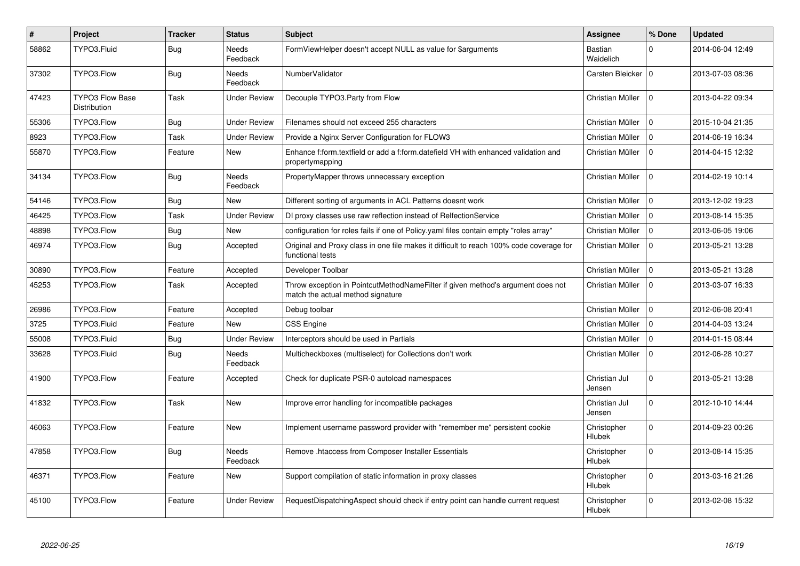| #     | <b>Project</b>                                | <b>Tracker</b> | <b>Status</b>            | <b>Subject</b>                                                                                                       | <b>Assignee</b>         | % Done         | <b>Updated</b>   |
|-------|-----------------------------------------------|----------------|--------------------------|----------------------------------------------------------------------------------------------------------------------|-------------------------|----------------|------------------|
| 58862 | TYPO3.Fluid                                   | <b>Bug</b>     | <b>Needs</b><br>Feedback | FormViewHelper doesn't accept NULL as value for \$arguments                                                          | Bastian<br>Waidelich    | $\Omega$       | 2014-06-04 12:49 |
| 37302 | TYPO3.Flow                                    | Bug            | Needs<br>Feedback        | NumberValidator                                                                                                      | Carsten Bleicker        | $\overline{0}$ | 2013-07-03 08:36 |
| 47423 | <b>TYPO3 Flow Base</b><br><b>Distribution</b> | Task           | Under Review             | Decouple TYPO3. Party from Flow                                                                                      | Christian Müller        | $\Omega$       | 2013-04-22 09:34 |
| 55306 | TYPO3.Flow                                    | <b>Bug</b>     | Under Review             | Filenames should not exceed 255 characters                                                                           | Christian Müller        | $\Omega$       | 2015-10-04 21:35 |
| 8923  | TYPO3.Flow                                    | Task           | Under Review             | Provide a Nginx Server Configuration for FLOW3                                                                       | Christian Müller        | $\Omega$       | 2014-06-19 16:34 |
| 55870 | TYPO3.Flow                                    | Feature        | New                      | Enhance f:form.textfield or add a f:form.datefield VH with enhanced validation and<br>propertymapping                | Christian Müller        | $\Omega$       | 2014-04-15 12:32 |
| 34134 | TYPO3.Flow                                    | <b>Bug</b>     | <b>Needs</b><br>Feedback | PropertyMapper throws unnecessary exception                                                                          | Christian Müller        | $\Omega$       | 2014-02-19 10:14 |
| 54146 | TYPO3.Flow                                    | <b>Bug</b>     | <b>New</b>               | Different sorting of arguments in ACL Patterns doesnt work                                                           | Christian Müller        | $\Omega$       | 2013-12-02 19:23 |
| 46425 | TYPO3.Flow                                    | Task           | <b>Under Review</b>      | DI proxy classes use raw reflection instead of RelfectionService                                                     | Christian Müller        | $\Omega$       | 2013-08-14 15:35 |
| 48898 | TYPO3.Flow                                    | Bug            | New                      | configuration for roles fails if one of Policy yaml files contain empty "roles array"                                | Christian Müller        | $\Omega$       | 2013-06-05 19:06 |
| 46974 | TYPO3.Flow                                    | <b>Bug</b>     | Accepted                 | Original and Proxy class in one file makes it difficult to reach 100% code coverage for<br>functional tests          | Christian Müller        | $\mathbf 0$    | 2013-05-21 13:28 |
| 30890 | TYPO3.Flow                                    | Feature        | Accepted                 | Developer Toolbar                                                                                                    | Christian Müller        | $\mathbf 0$    | 2013-05-21 13:28 |
| 45253 | TYPO3.Flow                                    | Task           | Accepted                 | Throw exception in PointcutMethodNameFilter if given method's argument does not<br>match the actual method signature | Christian Müller        | $\Omega$       | 2013-03-07 16:33 |
| 26986 | TYPO3.Flow                                    | Feature        | Accepted                 | Debug toolbar                                                                                                        | Christian Müller        | $\Omega$       | 2012-06-08 20:41 |
| 3725  | TYPO3.Fluid                                   | Feature        | <b>New</b>               | <b>CSS Engine</b>                                                                                                    | Christian Müller        | $\mathbf 0$    | 2014-04-03 13:24 |
| 55008 | TYPO3.Fluid                                   | <b>Bug</b>     | <b>Under Review</b>      | Interceptors should be used in Partials                                                                              | Christian Müller        | $\Omega$       | 2014-01-15 08:44 |
| 33628 | TYPO3.Fluid                                   | <b>Bug</b>     | Needs<br>Feedback        | Multicheckboxes (multiselect) for Collections don't work                                                             | Christian Müller        | $\Omega$       | 2012-06-28 10:27 |
| 41900 | TYPO3.Flow                                    | Feature        | Accepted                 | Check for duplicate PSR-0 autoload namespaces                                                                        | Christian Jul<br>Jensen | $\Omega$       | 2013-05-21 13:28 |
| 41832 | TYPO3.Flow                                    | Task           | <b>New</b>               | Improve error handling for incompatible packages                                                                     | Christian Jul<br>Jensen | $\Omega$       | 2012-10-10 14:44 |
| 46063 | TYPO3.Flow                                    | Feature        | New                      | Implement username password provider with "remember me" persistent cookie                                            | Christopher<br>Hlubek   | $\Omega$       | 2014-09-23 00:26 |
| 47858 | TYPO3.Flow                                    | <b>Bug</b>     | <b>Needs</b><br>Feedback | Remove .htaccess from Composer Installer Essentials                                                                  | Christopher<br>Hlubek   | $\Omega$       | 2013-08-14 15:35 |
| 46371 | TYPO3.Flow                                    | Feature        | <b>New</b>               | Support compilation of static information in proxy classes                                                           | Christopher<br>Hlubek   | $\Omega$       | 2013-03-16 21:26 |
| 45100 | TYPO3.Flow                                    | Feature        | Under Review             | RequestDispatchingAspect should check if entry point can handle current request                                      | Christopher<br>Hlubek   | $\Omega$       | 2013-02-08 15:32 |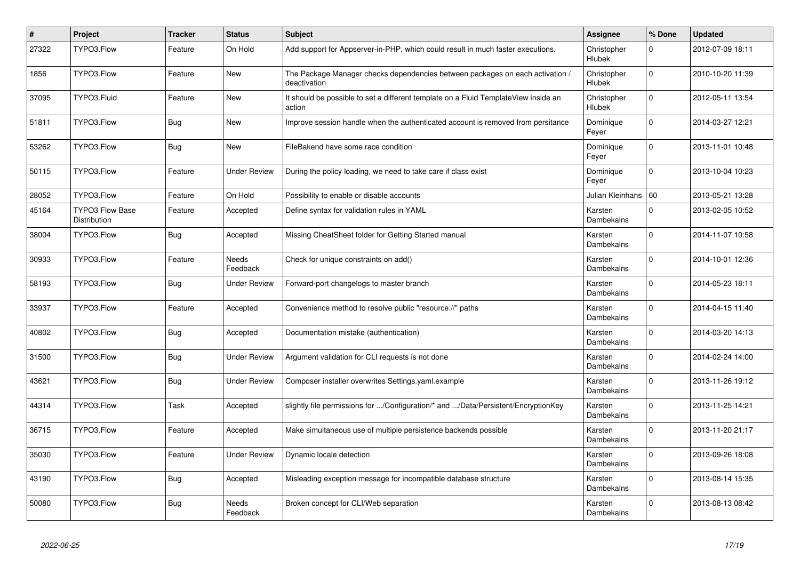| $\vert$ # | Project                                       | <b>Tracker</b> | <b>Status</b>            | <b>Subject</b>                                                                                | Assignee              | % Done      | <b>Updated</b>   |
|-----------|-----------------------------------------------|----------------|--------------------------|-----------------------------------------------------------------------------------------------|-----------------------|-------------|------------------|
| 27322     | TYPO3.Flow                                    | Feature        | On Hold                  | Add support for Appserver-in-PHP, which could result in much faster executions.               | Christopher<br>Hlubek | 0           | 2012-07-09 18:11 |
| 1856      | TYPO3.Flow                                    | Feature        | <b>New</b>               | The Package Manager checks dependencies between packages on each activation /<br>deactivation | Christopher<br>Hlubek | $\Omega$    | 2010-10-20 11:39 |
| 37095     | TYPO3.Fluid                                   | Feature        | New                      | It should be possible to set a different template on a Fluid TemplateView inside an<br>action | Christopher<br>Hlubek | $\Omega$    | 2012-05-11 13:54 |
| 51811     | TYPO3.Flow                                    | <b>Bug</b>     | <b>New</b>               | Improve session handle when the authenticated account is removed from persitance              | Dominique<br>Feyer    | $\mathbf 0$ | 2014-03-27 12:21 |
| 53262     | TYPO3.Flow                                    | Bug            | <b>New</b>               | FileBakend have some race condition                                                           | Dominique<br>Feyer    | $\Omega$    | 2013-11-01 10:48 |
| 50115     | TYPO3.Flow                                    | Feature        | Under Review             | During the policy loading, we need to take care if class exist                                | Dominique<br>Feyer    | $\mathbf 0$ | 2013-10-04 10:23 |
| 28052     | TYPO3.Flow                                    | Feature        | On Hold                  | Possibility to enable or disable accounts                                                     | Julian Kleinhans   60 |             | 2013-05-21 13:28 |
| 45164     | <b>TYPO3 Flow Base</b><br><b>Distribution</b> | Feature        | Accepted                 | Define syntax for validation rules in YAML                                                    | Karsten<br>Dambekalns | $\Omega$    | 2013-02-05 10:52 |
| 38004     | TYPO3.Flow                                    | <b>Bug</b>     | Accepted                 | Missing CheatSheet folder for Getting Started manual                                          | Karsten<br>Dambekalns | $\Omega$    | 2014-11-07 10:58 |
| 30933     | TYPO3.Flow                                    | Feature        | <b>Needs</b><br>Feedback | Check for unique constraints on add()                                                         | Karsten<br>Dambekalns | $\Omega$    | 2014-10-01 12:36 |
| 58193     | TYPO3.Flow                                    | <b>Bug</b>     | <b>Under Review</b>      | Forward-port changelogs to master branch                                                      | Karsten<br>Dambekalns | $\mathbf 0$ | 2014-05-23 18:11 |
| 33937     | TYPO3.Flow                                    | Feature        | Accepted                 | Convenience method to resolve public "resource://" paths                                      | Karsten<br>Dambekalns | $\Omega$    | 2014-04-15 11:40 |
| 40802     | TYPO3.Flow                                    | <b>Bug</b>     | Accepted                 | Documentation mistake (authentication)                                                        | Karsten<br>Dambekalns | $\Omega$    | 2014-03-20 14:13 |
| 31500     | TYPO3.Flow                                    | <b>Bug</b>     | <b>Under Review</b>      | Argument validation for CLI requests is not done                                              | Karsten<br>Dambekalns | $\Omega$    | 2014-02-24 14:00 |
| 43621     | TYPO3.Flow                                    | <b>Bug</b>     | <b>Under Review</b>      | Composer installer overwrites Settings.yaml.example                                           | Karsten<br>Dambekalns | $\Omega$    | 2013-11-26 19:12 |
| 44314     | TYPO3.Flow                                    | Task           | Accepted                 | slightly file permissions for /Configuration/* and /Data/Persistent/EncryptionKey             | Karsten<br>Dambekalns | $\Omega$    | 2013-11-25 14:21 |
| 36715     | TYPO3.Flow                                    | Feature        | Accepted                 | Make simultaneous use of multiple persistence backends possible                               | Karsten<br>Dambekalns | $\Omega$    | 2013-11-20 21:17 |
| 35030     | TYPO3.Flow                                    | Feature        | Under Review             | Dynamic locale detection                                                                      | Karsten<br>Dambekalns | $\Omega$    | 2013-09-26 18:08 |
| 43190     | TYPO3.Flow                                    | Bug            | Accepted                 | Misleading exception message for incompatible database structure                              | Karsten<br>Dambekalns | $\Omega$    | 2013-08-14 15:35 |
| 50080     | TYPO3.Flow                                    | <b>Bug</b>     | Needs<br>Feedback        | Broken concept for CLI/Web separation                                                         | Karsten<br>Dambekalns | $\mathbf 0$ | 2013-08-13 08:42 |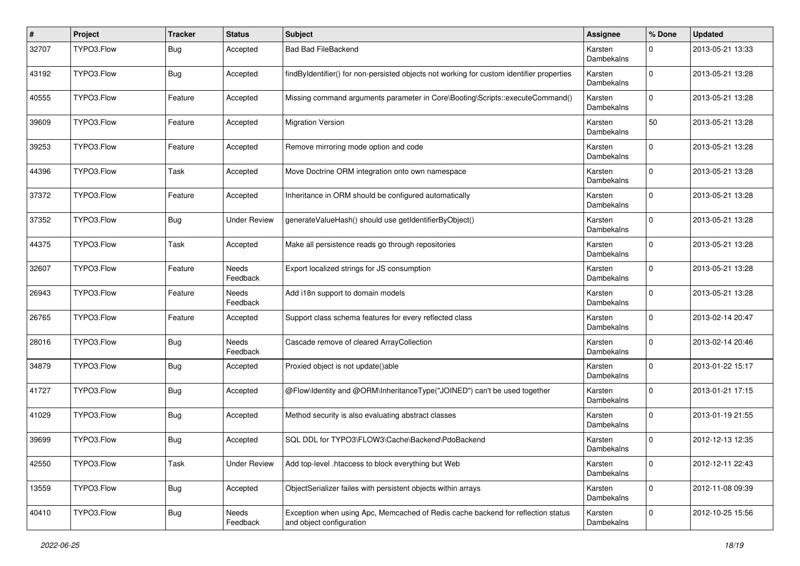| #     | Project    | <b>Tracker</b> | <b>Status</b>            | <b>Subject</b>                                                                                               | <b>Assignee</b>              | % Done      | <b>Updated</b>   |
|-------|------------|----------------|--------------------------|--------------------------------------------------------------------------------------------------------------|------------------------------|-------------|------------------|
| 32707 | TYPO3.Flow | Bug            | Accepted                 | <b>Bad Bad FileBackend</b>                                                                                   | Karsten<br>Dambekalns        | $\Omega$    | 2013-05-21 13:33 |
| 43192 | TYPO3.Flow | Bug            | Accepted                 | findByIdentifier() for non-persisted objects not working for custom identifier properties                    | Karsten<br>Dambekalns        | $\Omega$    | 2013-05-21 13:28 |
| 40555 | TYPO3.Flow | Feature        | Accepted                 | Missing command arguments parameter in Core\Booting\Scripts::executeCommand()                                | Karsten<br><b>Dambekalns</b> | $\mathbf 0$ | 2013-05-21 13:28 |
| 39609 | TYPO3.Flow | Feature        | Accepted                 | <b>Migration Version</b>                                                                                     | Karsten<br>Dambekalns        | 50          | 2013-05-21 13:28 |
| 39253 | TYPO3.Flow | Feature        | Accepted                 | Remove mirroring mode option and code                                                                        | Karsten<br>Dambekalns        | 0           | 2013-05-21 13:28 |
| 44396 | TYPO3.Flow | Task           | Accepted                 | Move Doctrine ORM integration onto own namespace                                                             | Karsten<br>Dambekalns        | $\Omega$    | 2013-05-21 13:28 |
| 37372 | TYPO3.Flow | Feature        | Accepted                 | Inheritance in ORM should be configured automatically                                                        | Karsten<br>Dambekalns        | $\Omega$    | 2013-05-21 13:28 |
| 37352 | TYPO3.Flow | <b>Bug</b>     | <b>Under Review</b>      | generateValueHash() should use getIdentifierByObject()                                                       | Karsten<br>Dambekalns        | $\Omega$    | 2013-05-21 13:28 |
| 44375 | TYPO3.Flow | Task           | Accepted                 | Make all persistence reads go through repositories                                                           | Karsten<br>Dambekalns        | $\Omega$    | 2013-05-21 13:28 |
| 32607 | TYPO3.Flow | Feature        | <b>Needs</b><br>Feedback | Export localized strings for JS consumption                                                                  | Karsten<br>Dambekalns        | $\Omega$    | 2013-05-21 13:28 |
| 26943 | TYPO3.Flow | Feature        | Needs<br>Feedback        | Add i18n support to domain models                                                                            | Karsten<br>Dambekalns        | $\Omega$    | 2013-05-21 13:28 |
| 26765 | TYPO3.Flow | Feature        | Accepted                 | Support class schema features for every reflected class                                                      | Karsten<br>Dambekalns        | $\Omega$    | 2013-02-14 20:47 |
| 28016 | TYPO3.Flow | <b>Bug</b>     | <b>Needs</b><br>Feedback | Cascade remove of cleared ArrayCollection                                                                    | Karsten<br>Dambekalns        | $\Omega$    | 2013-02-14 20:46 |
| 34879 | TYPO3.Flow | <b>Bug</b>     | Accepted                 | Proxied object is not update()able                                                                           | Karsten<br>Dambekalns        | $\Omega$    | 2013-01-22 15:17 |
| 41727 | TYPO3.Flow | Bug            | Accepted                 | @Flow\Identity and @ORM\InheritanceType("JOINED") can't be used together                                     | Karsten<br>Dambekalns        | $\Omega$    | 2013-01-21 17:15 |
| 41029 | TYPO3.Flow | Bug            | Accepted                 | Method security is also evaluating abstract classes                                                          | Karsten<br>Dambekalns        | $\Omega$    | 2013-01-19 21:55 |
| 39699 | TYPO3.Flow | Bug            | Accepted                 | SQL DDL for TYPO3\FLOW3\Cache\Backend\PdoBackend                                                             | Karsten<br>Dambekalns        | $\Omega$    | 2012-12-13 12:35 |
| 42550 | TYPO3.Flow | Task           | <b>Under Review</b>      | Add top-level .htaccess to block everything but Web                                                          | Karsten<br>Dambekalns        | $\mathbf 0$ | 2012-12-11 22:43 |
| 13559 | TYPO3.Flow | <b>Bug</b>     | Accepted                 | ObjectSerializer failes with persistent objects within arrays                                                | Karsten<br>Dambekalns        | $\mathbf 0$ | 2012-11-08 09:39 |
| 40410 | TYPO3.Flow | <b>Bug</b>     | Needs<br>Feedback        | Exception when using Apc, Memcached of Redis cache backend for reflection status<br>and object configuration | Karsten<br>Dambekalns        | 0           | 2012-10-25 15:56 |